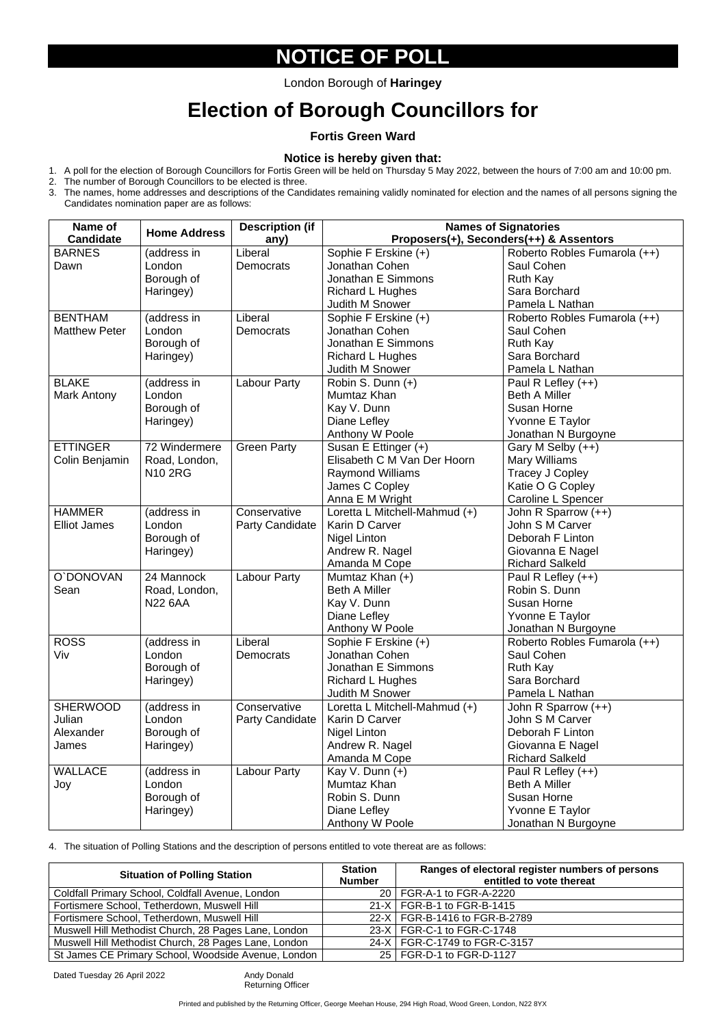### **NOTICE OF POLL**

London Borough of **Haringey** 

# **Election of Borough Councillors for**

**Fortis Green Ward** 

#### **Notice is hereby given that:**

- 1. A poll for the election of Borough Councillors for Fortis Green will be held on Thursday 5 May 2022, between the hours of 7:00 am and 10:00 pm.
- 2. The number of Borough Councillors to be elected is three.
- 3. The names, home addresses and descriptions of the Candidates remaining validly nominated for election and the names of all persons signing the Candidates nomination paper are as follows:

4. The situation of Polling Stations and the description of persons entitled to vote thereat are as follows:

| Name of              | <b>Home Address</b> | <b>Description (if</b> | <b>Names of Signatories</b>   |                                         |  |
|----------------------|---------------------|------------------------|-------------------------------|-----------------------------------------|--|
| <b>Candidate</b>     |                     | any)                   |                               | Proposers(+), Seconders(++) & Assentors |  |
| <b>BARNES</b>        | (address in         | Liberal                | Sophie F Erskine (+)          | Roberto Robles Fumarola (++)            |  |
| Dawn                 | London              | <b>Democrats</b>       | Jonathan Cohen                | Saul Cohen                              |  |
|                      | Borough of          |                        | Jonathan E Simmons            | Ruth Kay                                |  |
|                      | Haringey)           |                        | Richard L Hughes              | Sara Borchard                           |  |
|                      |                     |                        | <b>Judith M Snower</b>        | Pamela L Nathan                         |  |
| <b>BENTHAM</b>       | (address in         | Liberal                | Sophie F Erskine (+)          | Roberto Robles Fumarola (++)            |  |
| <b>Matthew Peter</b> | London              | Democrats              | Jonathan Cohen                | Saul Cohen                              |  |
|                      | Borough of          |                        | Jonathan E Simmons            | <b>Ruth Kay</b>                         |  |
|                      | Haringey)           |                        | <b>Richard L Hughes</b>       | Sara Borchard                           |  |
|                      |                     |                        | <b>Judith M Snower</b>        | Pamela L Nathan                         |  |
| <b>BLAKE</b>         | (address in         | Labour Party           | Robin S. Dunn (+)             | Paul R Lefley $(++)$                    |  |
| <b>Mark Antony</b>   | London              |                        | Mumtaz Khan                   | <b>Beth A Miller</b>                    |  |
|                      | Borough of          |                        | Kay V. Dunn                   | <b>Susan Horne</b>                      |  |
|                      | Haringey)           |                        | Diane Lefley                  | Yvonne E Taylor                         |  |
|                      |                     |                        | Anthony W Poole               | Jonathan N Burgoyne                     |  |
| <b>ETTINGER</b>      | 72 Windermere       | <b>Green Party</b>     | Susan E Ettinger (+)          | Gary M Selby (++)                       |  |
| Colin Benjamin       | Road, London,       |                        | Elisabeth C M Van Der Hoorn   | <b>Mary Williams</b>                    |  |
|                      | <b>N10 2RG</b>      |                        | <b>Raymond Williams</b>       | Tracey J Copley                         |  |
|                      |                     |                        | James C Copley                | Katie O G Copley                        |  |
|                      |                     |                        | Anna E M Wright               | Caroline L Spencer                      |  |
| <b>HAMMER</b>        | (address in         | Conservative           | Loretta L Mitchell-Mahmud (+) | John R Sparrow (++)                     |  |
| <b>Elliot James</b>  | London              | <b>Party Candidate</b> | Karin D Carver                | John S M Carver                         |  |
|                      | Borough of          |                        | Nigel Linton                  | Deborah F Linton                        |  |
|                      | Haringey)           |                        | Andrew R. Nagel               | Giovanna E Nagel                        |  |
|                      |                     |                        | Amanda M Cope                 | <b>Richard Salkeld</b>                  |  |
| O'DONOVAN            | 24 Mannock          | Labour Party           | Mumtaz Khan (+)               | Paul R Lefley $(++)$                    |  |
| Sean                 | Road, London,       |                        | <b>Beth A Miller</b>          | Robin S. Dunn                           |  |
|                      | <b>N22 6AA</b>      |                        | Kay V. Dunn                   | <b>Susan Horne</b>                      |  |
|                      |                     |                        | Diane Lefley                  | Yvonne E Taylor                         |  |
|                      |                     |                        | Anthony W Poole               | Jonathan N Burgoyne                     |  |
| <b>ROSS</b>          | (address in         | Liberal                | Sophie F Erskine (+)          | Roberto Robles Fumarola (++)            |  |
| Viv                  | London              | <b>Democrats</b>       | Jonathan Cohen                | Saul Cohen                              |  |
|                      | Borough of          |                        | Jonathan E Simmons            | <b>Ruth Kay</b>                         |  |
|                      | Haringey)           |                        | <b>Richard L Hughes</b>       | Sara Borchard                           |  |
|                      |                     |                        | <b>Judith M Snower</b>        | Pamela L Nathan                         |  |
| <b>SHERWOOD</b>      | (address in         | Conservative           | Loretta L Mitchell-Mahmud (+) | John R Sparrow (++)                     |  |
| Julian               | London              | <b>Party Candidate</b> | Karin D Carver                | John S M Carver                         |  |
| Alexander            | Borough of          |                        | Nigel Linton                  | Deborah F Linton                        |  |
| James                | Haringey)           |                        | Andrew R. Nagel               | Giovanna E Nagel                        |  |
|                      |                     |                        | Amanda M Cope                 | <b>Richard Salkeld</b>                  |  |
| <b>WALLACE</b>       | (address in         | Labour Party           | Kay V. Dunn $(+)$             | Paul R Lefley $(++)$                    |  |
| Joy                  | London              |                        | Mumtaz Khan                   | <b>Beth A Miller</b>                    |  |
|                      | Borough of          |                        | Robin S. Dunn                 | <b>Susan Horne</b>                      |  |
|                      | Haringey)           |                        | Diane Lefley                  | Yvonne E Taylor                         |  |
|                      |                     |                        | Anthony W Poole               | Jonathan N Burgoyne                     |  |

Printed and published by the Returning Officer, George Meehan House, 294 High Road, Wood Green, London, N22 8YX

| <b>Situation of Polling Station</b>                  | <b>Station</b><br><b>Number</b> | Ranges of electoral register numbers of persons<br>entitled to vote thereat |
|------------------------------------------------------|---------------------------------|-----------------------------------------------------------------------------|
| Coldfall Primary School, Coldfall Avenue, London     |                                 | 20   FGR-A-1 to FGR-A-2220                                                  |
| Fortismere School, Tetherdown, Muswell Hill          |                                 | 21-X   FGR-B-1 to FGR-B-1415                                                |
| Fortismere School, Tetherdown, Muswell Hill          |                                 | 22-X   FGR-B-1416 to FGR-B-2789                                             |
| Muswell Hill Methodist Church, 28 Pages Lane, London |                                 | 23-X   FGR-C-1 to FGR-C-1748                                                |
| Muswell Hill Methodist Church, 28 Pages Lane, London |                                 | 24-X   FGR-C-1749 to FGR-C-3157                                             |
| St James CE Primary School, Woodside Avenue, London  |                                 | 25   FGR-D-1 to FGR-D-1127                                                  |

Dated Tuesday 26 April 2022 Andy Donald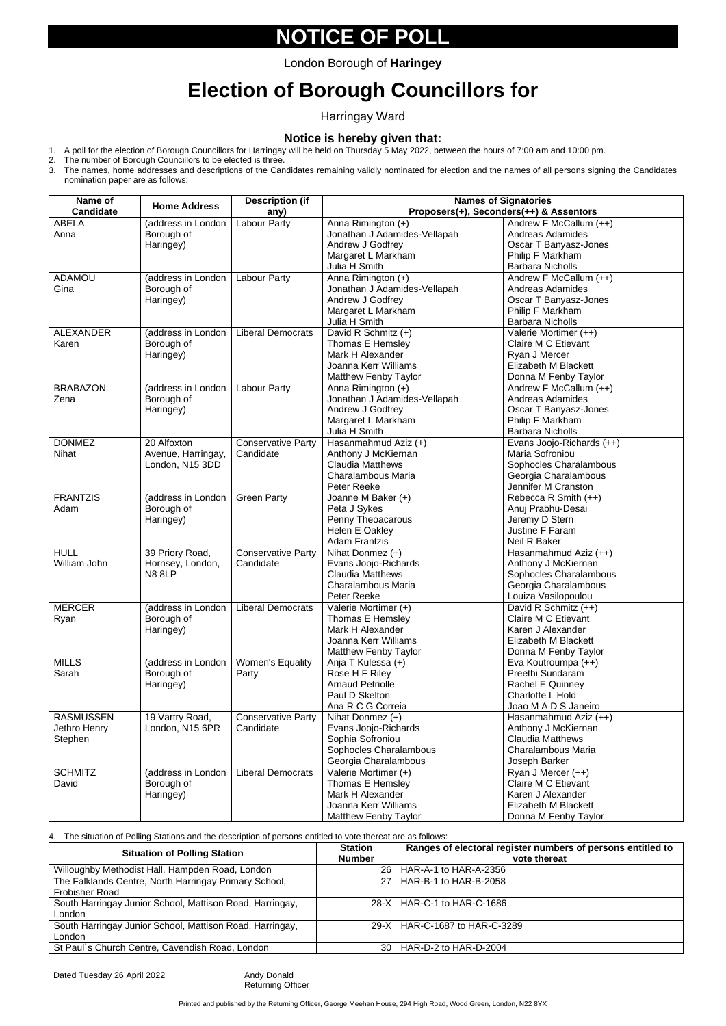### **NOTICE OF POLL**

# **Election of Borough Councillors for**

Harringay Ward

#### **Notice is hereby given that:**

- 1. A poll for the election of Borough Councillors for Harringay will be held on Thursday 5 May 2022, between the hours of 7:00 am and 10:00 pm.
- 2. The number of Borough Councillors to be elected is three.
- 3. The names, home addresses and descriptions of the Candidates remaining validly nominated for election and the names of all persons signing the Candidates nomination paper are as follows:

4. The situation of Polling Stations and the description of persons entitled to vote thereat are as follows:

| Name of          | <b>Home Address</b> | <b>Description (if</b>    | <b>Names of Signatories</b><br>Proposers(+), Seconders(++) & Assentors |                            |  |
|------------------|---------------------|---------------------------|------------------------------------------------------------------------|----------------------------|--|
| <b>Candidate</b> |                     | any)                      |                                                                        |                            |  |
| <b>ABELA</b>     | (address in London  | Labour Party              | Anna Rimington (+)                                                     | Andrew F McCallum (++)     |  |
| Anna             | Borough of          |                           | Jonathan J Adamides-Vellapah                                           | <b>Andreas Adamides</b>    |  |
|                  | Haringey)           |                           | Andrew J Godfrey                                                       | Oscar T Banyasz-Jones      |  |
|                  |                     |                           | Margaret L Markham                                                     | Philip F Markham           |  |
|                  |                     |                           | Julia H Smith                                                          | <b>Barbara Nicholls</b>    |  |
| <b>ADAMOU</b>    | (address in London  | <b>Labour Party</b>       | Anna Rimington (+)                                                     | Andrew F McCallum (++)     |  |
| Gina             | Borough of          |                           | Jonathan J Adamides-Vellapah                                           | <b>Andreas Adamides</b>    |  |
|                  | Haringey)           |                           | Andrew J Godfrey                                                       | Oscar T Banyasz-Jones      |  |
|                  |                     |                           | Margaret L Markham                                                     | Philip F Markham           |  |
|                  |                     |                           | Julia H Smith                                                          | <b>Barbara Nicholls</b>    |  |
| <b>ALEXANDER</b> | (address in London  | <b>Liberal Democrats</b>  | David R Schmitz (+)                                                    | Valerie Mortimer (++)      |  |
| Karen            | Borough of          |                           | Thomas E Hemsley                                                       | Claire M C Etievant        |  |
|                  | Haringey)           |                           | Mark H Alexander                                                       | Ryan J Mercer              |  |
|                  |                     |                           | Joanna Kerr Williams                                                   | Elizabeth M Blackett       |  |
|                  |                     |                           | <b>Matthew Fenby Taylor</b>                                            | Donna M Fenby Taylor       |  |
| <b>BRABAZON</b>  | (address in London  | <b>Labour Party</b>       | Anna Rimington (+)                                                     | Andrew F McCallum (++)     |  |
| Zena             | Borough of          |                           | Jonathan J Adamides-Vellapah                                           | <b>Andreas Adamides</b>    |  |
|                  | Haringey)           |                           | Andrew J Godfrey                                                       | Oscar T Banyasz-Jones      |  |
|                  |                     |                           | Margaret L Markham                                                     | Philip F Markham           |  |
|                  |                     |                           | Julia H Smith                                                          | <b>Barbara Nicholls</b>    |  |
| <b>DONMEZ</b>    | 20 Alfoxton         | Conservative Party        | Hasanmahmud Aziz (+)                                                   | Evans Joojo-Richards (++)  |  |
| <b>Nihat</b>     | Avenue, Harringay,  | Candidate                 | Anthony J McKiernan                                                    | Maria Sofroniou            |  |
|                  | London, N15 3DD     |                           | <b>Claudia Matthews</b>                                                | Sophocles Charalambous     |  |
|                  |                     |                           | Charalambous Maria                                                     | Georgia Charalambous       |  |
|                  |                     |                           | Peter Reeke                                                            | Jennifer M Cranston        |  |
| <b>FRANTZIS</b>  | (address in London  | <b>Green Party</b>        | Joanne M Baker (+)                                                     | Rebecca R Smith (++)       |  |
| Adam             | Borough of          |                           | Peta J Sykes                                                           | Anuj Prabhu-Desai          |  |
|                  | Haringey)           |                           | Penny Theoacarous                                                      | Jeremy D Stern             |  |
|                  |                     |                           | Helen E Oakley                                                         | Justine F Faram            |  |
|                  |                     |                           | <b>Adam Frantzis</b>                                                   | Neil R Baker               |  |
| <b>HULL</b>      | 39 Priory Road,     | <b>Conservative Party</b> | Nihat Donmez (+)                                                       | Hasanmahmud Aziz (++)      |  |
| William John     | Hornsey, London,    | Candidate                 | Evans Joojo-Richards                                                   | Anthony J McKiernan        |  |
|                  | <b>N8 8LP</b>       |                           | <b>Claudia Matthews</b>                                                | Sophocles Charalambous     |  |
|                  |                     |                           | Charalambous Maria                                                     | Georgia Charalambous       |  |
|                  |                     |                           | Peter Reeke                                                            |                            |  |
|                  |                     |                           |                                                                        | Louiza Vasilopoulou        |  |
| <b>MERCER</b>    | (address in London  | <b>Liberal Democrats</b>  | Valerie Mortimer (+)                                                   | David R Schmitz (++)       |  |
| Ryan             | Borough of          |                           | Thomas E Hemsley                                                       | Claire M C Etievant        |  |
|                  | Haringey)           |                           | Mark H Alexander                                                       | Karen J Alexander          |  |
|                  |                     |                           | Joanna Kerr Williams                                                   | Elizabeth M Blackett       |  |
|                  |                     |                           | <b>Matthew Fenby Taylor</b>                                            | Donna M Fenby Taylor       |  |
| <b>MILLS</b>     | (address in London  | <b>Women's Equality</b>   | Anja T Kulessa (+)                                                     | Eva Koutroumpa (++)        |  |
| Sarah            | Borough of          | Party                     | Rose H F Riley                                                         | Preethi Sundaram           |  |
|                  | Haringey)           |                           | <b>Arnaud Petriolle</b>                                                | Rachel E Quinney           |  |
|                  |                     |                           | Paul D Skelton                                                         | Charlotte L Hold           |  |
|                  |                     |                           | Ana R C G Correia                                                      | Joao M A D S Janeiro       |  |
| <b>RASMUSSEN</b> | 19 Vartry Road,     | <b>Conservative Party</b> | Nihat Donmez (+)                                                       | Hasanmahmud Aziz (++)      |  |
| Jethro Henry     | London, N15 6PR     | Candidate                 | Evans Joojo-Richards                                                   | Anthony J McKiernan        |  |
| Stephen          |                     |                           | Sophia Sofroniou                                                       | <b>Claudia Matthews</b>    |  |
|                  |                     |                           | Sophocles Charalambous                                                 | Charalambous Maria         |  |
|                  |                     |                           | Georgia Charalambous                                                   | Joseph Barker              |  |
| <b>SCHMITZ</b>   | (address in London  | <b>Liberal Democrats</b>  | Valerie Mortimer (+)                                                   | Ryan J Mercer (++)         |  |
| David            | Borough of          |                           | Thomas E Hemsley                                                       | <b>Claire M C Etievant</b> |  |
|                  | Haringey)           |                           | Mark H Alexander                                                       | Karen J Alexander          |  |
|                  |                     |                           | Joanna Kerr Williams                                                   | Elizabeth M Blackett       |  |
|                  |                     |                           | <b>Matthew Fenby Taylor</b>                                            | Donna M Fenby Taylor       |  |

Printed and published by the Returning Officer, George Meehan House, 294 High Road, Wood Green, London, N22 8YX

| <b>Situation of Polling Station</b>                      | <b>Station</b><br><b>Number</b> | Ranges of electoral register numbers of persons entitled to<br>vote thereat |
|----------------------------------------------------------|---------------------------------|-----------------------------------------------------------------------------|
| Willoughby Methodist Hall, Hampden Road, London          |                                 | 26   HAR-A-1 to HAR-A-2356                                                  |
| The Falklands Centre, North Harringay Primary School,    |                                 | 27   HAR-B-1 to HAR-B-2058                                                  |
| <b>Frobisher Road</b>                                    |                                 |                                                                             |
| South Harringay Junior School, Mattison Road, Harringay, |                                 | 28-X   HAR-C-1 to HAR-C-1686                                                |
| London                                                   |                                 |                                                                             |
| South Harringay Junior School, Mattison Road, Harringay, |                                 | 29-X   HAR-C-1687 to HAR-C-3289                                             |
| London                                                   |                                 |                                                                             |
| St Paul's Church Centre, Cavendish Road, London          |                                 | 30   HAR-D-2 to HAR-D-2004                                                  |

Dated Tuesday 26 April 2022 Andy Donald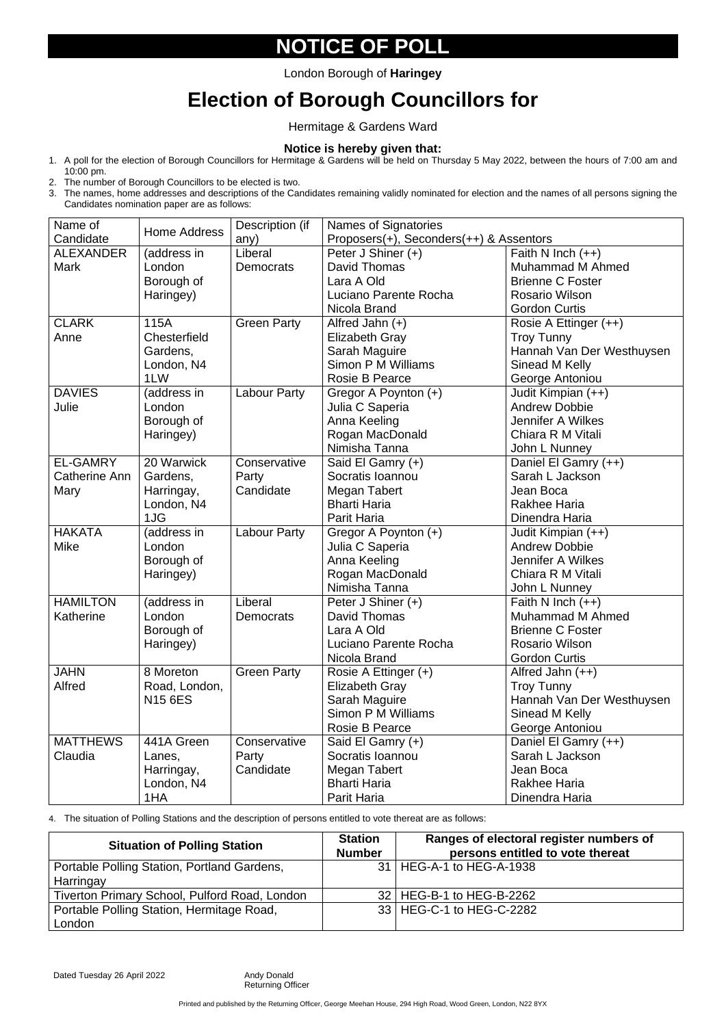# **NOTICE OF POLL**

## **Election of Borough Councillors for**

Hermitage & Gardens Ward

#### **Notice is hereby given that:**

- 1. A poll for the election of Borough Councillors for Hermitage & Gardens will be held on Thursday 5 May 2022, between the hours of 7:00 am and 10:00 pm.
- 2. The number of Borough Councillors to be elected is two.
- 3. The names, home addresses and descriptions of the Candidates remaining validly nominated for election and the names of all persons signing the Candidates nomination paper are as follows:

| Name of              |                | Description (if     | Names of Signatories                    |                           |  |
|----------------------|----------------|---------------------|-----------------------------------------|---------------------------|--|
| Candidate            | Home Address   | any)                | Proposers(+), Seconders(++) & Assentors |                           |  |
| <b>ALEXANDER</b>     | (address in    | Liberal             | Peter J Shiner (+)                      | Faith N Inch $(++)$       |  |
| <b>Mark</b>          | London         | <b>Democrats</b>    | David Thomas                            | <b>Muhammad M Ahmed</b>   |  |
|                      | Borough of     |                     | Lara A Old                              | <b>Brienne C Foster</b>   |  |
|                      | Haringey)      |                     | Luciano Parente Rocha                   | <b>Rosario Wilson</b>     |  |
|                      |                |                     | Nicola Brand                            | <b>Gordon Curtis</b>      |  |
| <b>CLARK</b>         | 115A           | <b>Green Party</b>  | Alfred Jahn $(+)$                       | Rosie A Ettinger (++)     |  |
| Anne                 | Chesterfield   |                     | Elizabeth Gray                          | <b>Troy Tunny</b>         |  |
|                      | Gardens,       |                     | Sarah Maguire                           | Hannah Van Der Westhuysen |  |
|                      | London, N4     |                     | Simon P M Williams                      | Sinead M Kelly            |  |
|                      | 1LW            |                     | <b>Rosie B Pearce</b>                   | George Antoniou           |  |
| <b>DAVIES</b>        | (address in    | <b>Labour Party</b> | Gregor A Poynton (+)                    | Judit Kimpian (++)        |  |
| Julie                | London         |                     | Julia C Saperia                         | <b>Andrew Dobbie</b>      |  |
|                      | Borough of     |                     | Anna Keeling                            | Jennifer A Wilkes         |  |
|                      | Haringey)      |                     | Rogan MacDonald                         | Chiara R M Vitali         |  |
|                      |                |                     | Nimisha Tanna                           | John L Nunney             |  |
| <b>EL-GAMRY</b>      | 20 Warwick     | Conservative        | Said El Gamry (+)                       | Daniel El Gamry (++)      |  |
| <b>Catherine Ann</b> | Gardens,       | Party               | Socratis Ioannou                        | Sarah L Jackson           |  |
| Mary                 | Harringay,     | Candidate           | Megan Tabert                            | Jean Boca                 |  |
|                      | London, N4     |                     | <b>Bharti Haria</b>                     | <b>Rakhee Haria</b>       |  |
|                      | 1JG            |                     | Parit Haria                             | Dinendra Haria            |  |
| <b>HAKATA</b>        | (address in    | <b>Labour Party</b> | Gregor A Poynton (+)                    | Judit Kimpian (++)        |  |
| <b>Mike</b>          | London         |                     | Julia C Saperia                         | <b>Andrew Dobbie</b>      |  |
|                      | Borough of     |                     | Anna Keeling                            | Jennifer A Wilkes         |  |
|                      | Haringey)      |                     | Rogan MacDonald                         | Chiara R M Vitali         |  |
|                      |                |                     | Nimisha Tanna                           | John L Nunney             |  |
| <b>HAMILTON</b>      | (address in    | Liberal             | Peter J Shiner (+)                      | Faith N Inch $(++)$       |  |
| Katherine            | London         | Democrats           | David Thomas                            | <b>Muhammad M Ahmed</b>   |  |
|                      | Borough of     |                     | Lara A Old                              | <b>Brienne C Foster</b>   |  |
|                      | Haringey)      |                     | Luciano Parente Rocha                   | <b>Rosario Wilson</b>     |  |
|                      |                |                     | Nicola Brand                            | <b>Gordon Curtis</b>      |  |
| <b>JAHN</b>          | 8 Moreton      | <b>Green Party</b>  | Rosie A Ettinger (+)                    | Alfred Jahn $(++)$        |  |
| Alfred               | Road, London,  |                     | <b>Elizabeth Gray</b>                   | <b>Troy Tunny</b>         |  |
|                      | <b>N15 6ES</b> |                     | Sarah Maguire                           | Hannah Van Der Westhuysen |  |
|                      |                |                     | Simon P M Williams                      | Sinead M Kelly            |  |
|                      |                |                     | <b>Rosie B Pearce</b>                   | George Antoniou           |  |
| <b>MATTHEWS</b>      | 441A Green     | Conservative        | Said El Gamry (+)                       | Daniel El Gamry (++)      |  |
| Claudia              | Lanes,         | Party               | Socratis Ioannou                        | Sarah L Jackson           |  |
|                      | Harringay,     | Candidate           | Megan Tabert                            | Jean Boca                 |  |
|                      | London, N4     |                     | <b>Bharti Haria</b>                     | <b>Rakhee Haria</b>       |  |
|                      | 1HA            |                     | Parit Haria                             | Dinendra Haria            |  |

4. The situation of Polling Stations and the description of persons entitled to vote thereat are as follows:

Printed and published by the Returning Officer, George Meehan House, 294 High Road, Wood Green, London, N22 8YX

| <b>Situation of Polling Station</b>                  | <b>Station</b><br><b>Number</b> | Ranges of electoral register numbers of<br>persons entitled to vote thereat |
|------------------------------------------------------|---------------------------------|-----------------------------------------------------------------------------|
| Portable Polling Station, Portland Gardens,          |                                 | 31   HEG-A-1 to HEG-A-1938                                                  |
| Harringay                                            |                                 |                                                                             |
| <b>Tiverton Primary School, Pulford Road, London</b> |                                 | 32   HEG-B-1 to HEG-B-2262                                                  |
| Portable Polling Station, Hermitage Road,            |                                 | 33   HEG-C-1 to HEG-C-2282                                                  |
| London                                               |                                 |                                                                             |

Dated Tuesday 26 April 2022 Andy Donald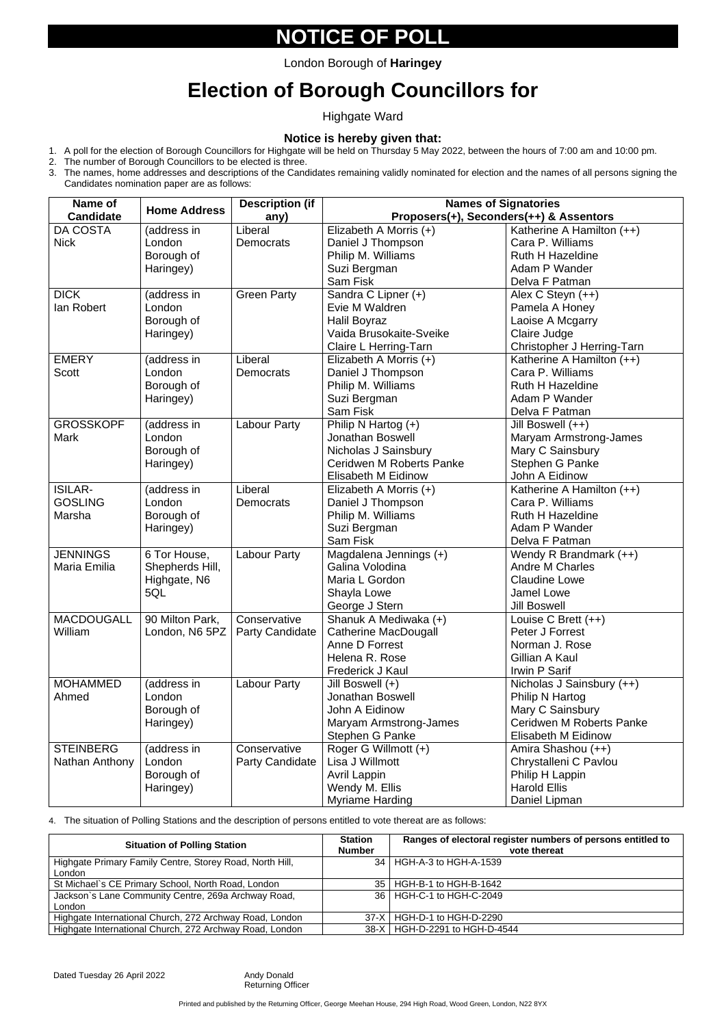### **NOTICE OF POLL**

# **Election of Borough Councillors for**

Highgate Ward

#### **Notice is hereby given that:**

- 1. A poll for the election of Borough Councillors for Highgate will be held on Thursday 5 May 2022, between the hours of 7:00 am and 10:00 pm.
- 2. The number of Borough Councillors to be elected is three.
- 3. The names, home addresses and descriptions of the Candidates remaining validly nominated for election and the names of all persons signing the Candidates nomination paper are as follows:

4. The situation of Polling Stations and the description of persons entitled to vote thereat are as follows:

| Name of           | <b>Home Address</b>             | <b>Description (if</b> | <b>Names of Signatories</b>               |                                                  |  |
|-------------------|---------------------------------|------------------------|-------------------------------------------|--------------------------------------------------|--|
| <b>Candidate</b>  |                                 | any)                   | Proposers(+), Seconders(++) & Assentors   |                                                  |  |
| DA COSTA          | (address in                     | Liberal                | Elizabeth A Morris (+)                    | Katherine A Hamilton (++)                        |  |
| <b>Nick</b>       | London                          | <b>Democrats</b>       | Daniel J Thompson                         | Cara P. Williams                                 |  |
|                   | Borough of                      |                        | Philip M. Williams                        | <b>Ruth H Hazeldine</b>                          |  |
|                   | Haringey)                       |                        | Suzi Bergman                              | Adam P Wander                                    |  |
|                   |                                 |                        | Sam Fisk                                  | Delva F Patman                                   |  |
| <b>DICK</b>       | (address in                     | <b>Green Party</b>     | Sandra C Lipner (+)                       | Alex C Steyn $(++)$                              |  |
| lan Robert        | London                          |                        | Evie M Waldren                            | Pamela A Honey                                   |  |
|                   | Borough of                      |                        | Halil Boyraz                              | Laoise A Mcgarry                                 |  |
|                   | Haringey)                       |                        | Vaida Brusokaite-Sveike                   | Claire Judge                                     |  |
|                   |                                 |                        | Claire L Herring-Tarn                     | Christopher J Herring-Tarn                       |  |
| <b>EMERY</b>      | (address in                     | Liberal                | Elizabeth A Morris (+)                    | Katherine A Hamilton (++)                        |  |
| <b>Scott</b>      | London                          | <b>Democrats</b>       | Daniel J Thompson                         | Cara P. Williams                                 |  |
|                   | Borough of                      |                        | Philip M. Williams                        | <b>Ruth H Hazeldine</b>                          |  |
|                   | Haringey)                       |                        | Suzi Bergman                              | Adam P Wander                                    |  |
|                   |                                 |                        | <b>Sam Fisk</b>                           | Delva F Patman                                   |  |
| <b>GROSSKOPF</b>  | (address in                     | <b>Labour Party</b>    | Philip N Hartog (+)                       | Jill Boswell (++)                                |  |
| <b>Mark</b>       | London                          |                        | <b>Jonathan Boswell</b>                   | Maryam Armstrong-James                           |  |
|                   | Borough of                      |                        | Nicholas J Sainsbury                      | Mary C Sainsbury                                 |  |
|                   | Haringey)                       |                        | <b>Ceridwen M Roberts Panke</b>           | Stephen G Panke                                  |  |
|                   |                                 |                        | <b>Elisabeth M Eidinow</b>                | John A Eidinow                                   |  |
| <b>ISILAR-</b>    | (address in                     | Liberal                | Elizabeth A Morris (+)                    | Katherine A Hamilton (++)                        |  |
| <b>GOSLING</b>    | London                          | <b>Democrats</b>       | Daniel J Thompson                         | Cara P. Williams                                 |  |
| Marsha            | Borough of                      |                        | Philip M. Williams                        | <b>Ruth H Hazeldine</b>                          |  |
|                   | Haringey)                       |                        | Suzi Bergman<br><b>Sam Fisk</b>           | Adam P Wander<br>Delva F Patman                  |  |
| <b>JENNINGS</b>   |                                 | <b>Labour Party</b>    |                                           |                                                  |  |
| Maria Emilia      | 6 Tor House,<br>Shepherds Hill, |                        | Magdalena Jennings (+)<br>Galina Volodina | Wendy R Brandmark (++)<br><b>Andre M Charles</b> |  |
|                   | Highgate, N6                    |                        | Maria L Gordon                            | <b>Claudine Lowe</b>                             |  |
|                   | 5QL                             |                        | Shayla Lowe                               | <b>Jamel Lowe</b>                                |  |
|                   |                                 |                        | George J Stern                            | <b>Jill Boswell</b>                              |  |
| <b>MACDOUGALL</b> | 90 Milton Park,                 | Conservative           | Shanuk A Mediwaka (+)                     | Louise C Brett $(++)$                            |  |
| William           | London, N6 5PZ                  | <b>Party Candidate</b> | <b>Catherine MacDougall</b>               | Peter J Forrest                                  |  |
|                   |                                 |                        | Anne D Forrest                            | Norman J. Rose                                   |  |
|                   |                                 |                        | Helena R. Rose                            | Gillian A Kaul                                   |  |
|                   |                                 |                        | <b>Frederick J Kaul</b>                   | Irwin P Sarif                                    |  |
| <b>MOHAMMED</b>   | (address in                     | Labour Party           | Jill Boswell (+)                          | Nicholas J Sainsbury (++)                        |  |
| Ahmed             | London                          |                        | <b>Jonathan Boswell</b>                   | Philip N Hartog                                  |  |
|                   | Borough of                      |                        | John A Eidinow                            | Mary C Sainsbury                                 |  |
|                   | Haringey)                       |                        | Maryam Armstrong-James                    | <b>Ceridwen M Roberts Panke</b>                  |  |
|                   |                                 |                        | Stephen G Panke                           | <b>Elisabeth M Eidinow</b>                       |  |
| <b>STEINBERG</b>  | (address in                     | Conservative           | Roger G Willmott (+)                      | Amira Shashou (++)                               |  |
| Nathan Anthony    | London                          | <b>Party Candidate</b> | Lisa J Willmott                           | Chrystalleni C Pavlou                            |  |
|                   | Borough of                      |                        | <b>Avril Lappin</b>                       | Philip H Lappin                                  |  |
|                   | Haringey)                       |                        | Wendy M. Ellis                            | <b>Harold Ellis</b>                              |  |
|                   |                                 |                        | <b>Myriame Harding</b>                    | Daniel Lipman                                    |  |

| <b>Situation of Polling Station</b>                                | <b>Station</b><br><b>Number</b> | Ranges of electoral register numbers of persons entitled to<br>vote thereat |
|--------------------------------------------------------------------|---------------------------------|-----------------------------------------------------------------------------|
| Highgate Primary Family Centre, Storey Road, North Hill,<br>London |                                 | 34   HGH-A-3 to HGH-A-1539                                                  |
| St Michael's CE Primary School, North Road, London                 |                                 | 35   HGH-B-1 to HGH-B-1642                                                  |
| Jackson's Lane Community Centre, 269a Archway Road,<br>London      |                                 | 36   HGH-C-1 to HGH-C-2049                                                  |
| Highgate International Church, 272 Archway Road, London            | $37-X$                          | HGH-D-1 to HGH-D-2290                                                       |
| Highgate International Church, 272 Archway Road, London            |                                 | 38-X   HGH-D-2291 to HGH-D-4544                                             |

Dated Tuesday 26 April 2022 Andy Donald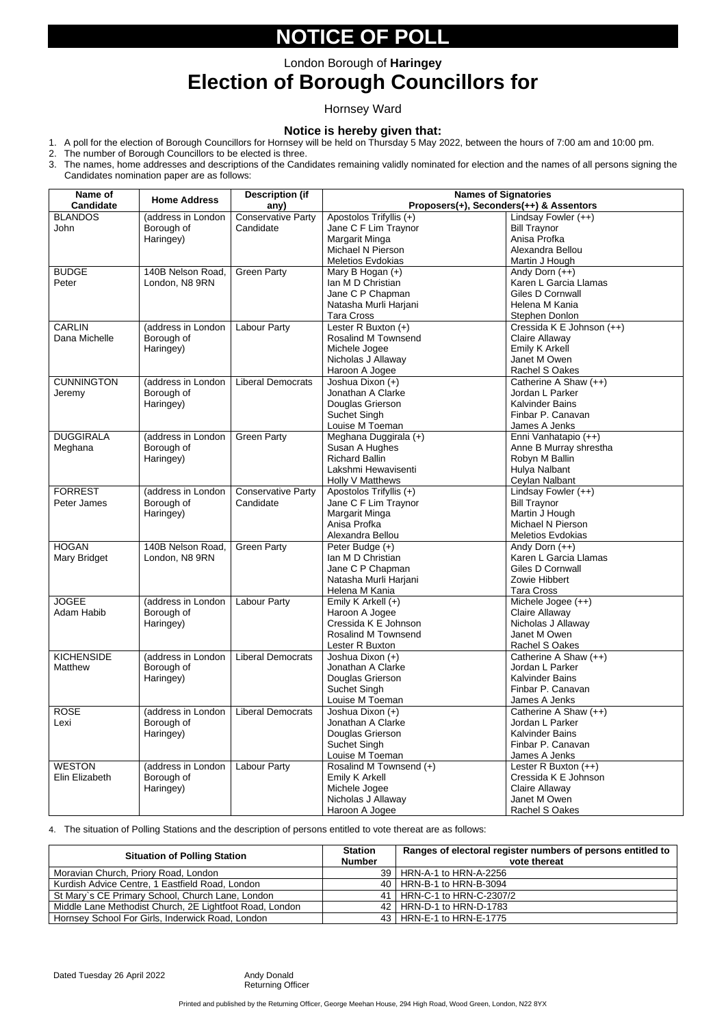## **NOTICE OF POLL**

## **Election of Borough Councillors for**

### Hornsey Ward

#### **Notice is hereby given that:**

- 1. A poll for the election of Borough Councillors for Hornsey will be held on Thursday 5 May 2022, between the hours of 7:00 am and 10:00 pm.
- 2. The number of Borough Councillors to be elected is three.
- 3. The names, home addresses and descriptions of the Candidates remaining validly nominated for election and the names of all persons signing the Candidates nomination paper are as follows:

| Name of<br><b>Candidate</b> | <b>Home Address</b> | <b>Description (if</b><br>any) | <b>Names of Signatories</b><br>Proposers(+), Seconders(++) & Assentors |                                          |  |
|-----------------------------|---------------------|--------------------------------|------------------------------------------------------------------------|------------------------------------------|--|
| <b>BLANDOS</b>              | (address in London  | <b>Conservative Party</b>      | Apostolos Trifyllis (+)                                                | Lindsay Fowler (++)                      |  |
| John                        | Borough of          | Candidate                      | Jane C F Lim Traynor                                                   | <b>Bill Traynor</b>                      |  |
|                             |                     |                                | Margarit Minga                                                         | Anisa Profka                             |  |
|                             | Haringey)           |                                | Michael N Pierson                                                      | Alexandra Bellou                         |  |
|                             |                     |                                |                                                                        |                                          |  |
|                             |                     |                                | <b>Meletios Evdokias</b>                                               | Martin J Hough                           |  |
| <b>BUDGE</b>                | 140B Nelson Road,   | <b>Green Party</b>             | Mary B Hogan (+)                                                       | Andy Dorn $(++)$                         |  |
| Peter                       | London, N8 9RN      |                                | Ian M D Christian                                                      | Karen L Garcia Llamas                    |  |
|                             |                     |                                | Jane C P Chapman                                                       | <b>Giles D Cornwall</b>                  |  |
|                             |                     |                                | Natasha Murli Harjani                                                  | Helena M Kania                           |  |
|                             |                     |                                | <b>Tara Cross</b>                                                      | Stephen Donlon                           |  |
| <b>CARLIN</b>               | (address in London  | Labour Party                   | Lester R Buxton (+)                                                    | Cressida K E Johnson (++)                |  |
| Dana Michelle               | Borough of          |                                | <b>Rosalind M Townsend</b>                                             | <b>Claire Allaway</b>                    |  |
|                             | Haringey)           |                                | Michele Jogee                                                          | <b>Emily K Arkell</b>                    |  |
|                             |                     |                                | Nicholas J Allaway                                                     | Janet M Owen                             |  |
|                             |                     |                                | Haroon A Jogee                                                         | <b>Rachel S Oakes</b>                    |  |
| <b>CUNNINGTON</b>           | (address in London  | <b>Liberal Democrats</b>       | Joshua Dixon (+)                                                       | Catherine A Shaw (++)                    |  |
| Jeremy                      | Borough of          |                                | Jonathan A Clarke                                                      | Jordan L Parker                          |  |
|                             | Haringey)           |                                | Douglas Grierson                                                       | <b>Kalvinder Bains</b>                   |  |
|                             |                     |                                | Suchet Singh                                                           | Finbar P. Canavan                        |  |
|                             |                     |                                | Louise M Toeman                                                        | James A Jenks                            |  |
| <b>DUGGIRALA</b>            | (address in London  | <b>Green Party</b>             | Meghana Duggirala (+)                                                  | Enni Vanhatapio (++)                     |  |
| Meghana                     | Borough of          |                                | Susan A Hughes                                                         | Anne B Murray shrestha                   |  |
|                             | Haringey)           |                                | <b>Richard Ballin</b>                                                  | Robyn M Ballin                           |  |
|                             |                     |                                | Lakshmi Hewavisenti                                                    | Hulya Nalbant                            |  |
|                             |                     |                                | Holly V Matthews                                                       | Ceylan Nalbant                           |  |
| <b>FORREST</b>              | (address in London  | <b>Conservative Party</b>      | Apostolos Trifyllis (+)                                                | Lindsay Fowler (++)                      |  |
| Peter James                 | Borough of          | Candidate                      | Jane C F Lim Traynor                                                   | <b>Bill Traynor</b>                      |  |
|                             | Haringey)           |                                | Margarit Minga                                                         | Martin J Hough                           |  |
|                             |                     |                                | Anisa Profka                                                           | Michael N Pierson                        |  |
|                             |                     |                                | Alexandra Bellou                                                       | <b>Meletios Evdokias</b>                 |  |
| <b>HOGAN</b>                | 140B Nelson Road,   | <b>Green Party</b>             | Peter Budge (+)                                                        | Andy Dorn $(++)$                         |  |
| Mary Bridget                | London, N8 9RN      |                                | Ian M D Christian                                                      | Karen L Garcia Llamas                    |  |
|                             |                     |                                | Jane C P Chapman                                                       | <b>Giles D Cornwall</b>                  |  |
|                             |                     |                                | Natasha Murli Harjani                                                  | Zowie Hibbert                            |  |
|                             |                     |                                | Helena M Kania                                                         | <b>Tara Cross</b>                        |  |
| <b>JOGEE</b>                | (address in London  | <b>Labour Party</b>            | Emily K Arkell (+)                                                     | Michele Jogee (++)                       |  |
| Adam Habib                  | Borough of          |                                |                                                                        | Claire Allaway                           |  |
|                             |                     |                                | Haroon A Jogee<br>Cressida K E Johnson                                 | Nicholas J Allaway                       |  |
|                             | Haringey)           |                                | <b>Rosalind M Townsend</b>                                             | Janet M Owen                             |  |
|                             |                     |                                |                                                                        | <b>Rachel S Oakes</b>                    |  |
|                             |                     |                                | Lester R Buxton                                                        |                                          |  |
| <b>KICHENSIDE</b>           | (address in London  | <b>Liberal Democrats</b>       | Joshua Dixon (+)                                                       | Catherine A Shaw (++)<br>Jordan L Parker |  |
| Matthew                     | Borough of          |                                | Jonathan A Clarke                                                      |                                          |  |
|                             | Haringey)           |                                | Douglas Grierson                                                       | <b>Kalvinder Bains</b>                   |  |
|                             |                     |                                | Suchet Singh                                                           | Finbar P. Canavan                        |  |
|                             |                     |                                | Louise M Toeman                                                        | James A Jenks                            |  |
| <b>ROSE</b>                 | (address in London  | <b>Liberal Democrats</b>       | Joshua Dixon (+)                                                       | Catherine A Shaw (++)                    |  |
| Lexi                        | Borough of          |                                | Jonathan A Clarke                                                      | Jordan L Parker                          |  |
|                             | Haringey)           |                                | Douglas Grierson                                                       | <b>Kalvinder Bains</b>                   |  |
|                             |                     |                                | Suchet Singh                                                           | Finbar P. Canavan                        |  |
|                             |                     |                                | Louise M Toeman                                                        | James A Jenks                            |  |
| <b>WESTON</b>               | (address in London  | Labour Party                   | Rosalind M Townsend (+)                                                | Lester R Buxton $(++)$                   |  |
| Elin Elizabeth              | Borough of          |                                | <b>Emily K Arkell</b>                                                  | Cressida K E Johnson                     |  |
|                             | Haringey)           |                                | Michele Jogee                                                          | Claire Allaway                           |  |
|                             |                     |                                | Nicholas J Allaway                                                     | Janet M Owen                             |  |
|                             |                     |                                | Haroon A Jogee                                                         | Rachel S Oakes                           |  |

4. The situation of Polling Stations and the description of persons entitled to vote thereat are as follows:

| <b>Situation of Polling Station</b>                     | <b>Station</b> | Ranges of electoral register numbers of persons entitled to |
|---------------------------------------------------------|----------------|-------------------------------------------------------------|
|                                                         | <b>Number</b>  | vote thereat                                                |
| Moravian Church, Priory Road, London                    |                | 39   HRN-A-1 to HRN-A-2256                                  |
| Kurdish Advice Centre, 1 Eastfield Road, London         |                | 40   HRN-B-1 to HRN-B-3094                                  |
| St Mary's CE Primary School, Church Lane, London        |                | 41   HRN-C-1 to HRN-C-2307/2                                |
| Middle Lane Methodist Church, 2E Lightfoot Road, London |                | 42   HRN-D-1 to HRN-D-1783                                  |
| Hornsey School For Girls, Inderwick Road, London        |                | 43   HRN-E-1 to HRN-E-1775                                  |

Dated Tuesday 26 April 2022 Andy Donald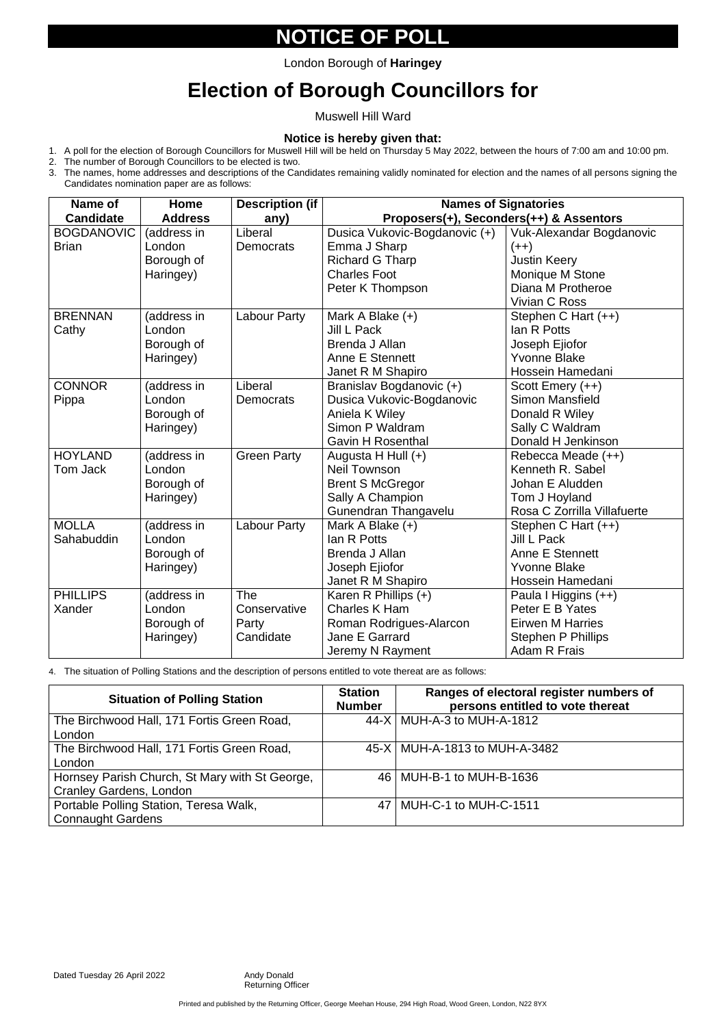## **NOTICE OF POLL**

# **Election of Borough Councillors for**

Muswell Hill Ward

#### **Notice is hereby given that:**

- 1. A poll for the election of Borough Councillors for Muswell Hill will be held on Thursday 5 May 2022, between the hours of 7:00 am and 10:00 pm.
- 2. The number of Borough Councillors to be elected is two.
- 3. The names, home addresses and descriptions of the Candidates remaining validly nominated for election and the names of all persons signing the Candidates nomination paper are as follows:

4. The situation of Polling Stations and the description of persons entitled to vote thereat are as follows:

| Name of                           | Home                                             | <b>Description (if</b>                    | <b>Names of Signatories</b>                                                                                            |                                                                                                                    |  |  |
|-----------------------------------|--------------------------------------------------|-------------------------------------------|------------------------------------------------------------------------------------------------------------------------|--------------------------------------------------------------------------------------------------------------------|--|--|
| <b>Candidate</b>                  | <b>Address</b>                                   | any)                                      | Proposers(+), Seconders(++) & Assentors                                                                                |                                                                                                                    |  |  |
| <b>BOGDANOVIC</b><br><b>Brian</b> | (address in<br>London<br>Borough of<br>Haringey) | Liberal<br><b>Democrats</b>               | Dusica Vukovic-Bogdanovic (+)<br>Emma J Sharp<br><b>Richard G Tharp</b><br><b>Charles Foot</b><br>Peter K Thompson     | Vuk-Alexandar Bogdanovic<br>$(++)$<br><b>Justin Keery</b><br>Monique M Stone<br>Diana M Protheroe<br>Vivian C Ross |  |  |
| <b>BRENNAN</b><br>Cathy           | (address in<br>London<br>Borough of<br>Haringey) | Labour Party                              | Mark A Blake $(+)$<br><b>Jill L Pack</b><br>Brenda J Allan<br><b>Anne E Stennett</b><br>Janet R M Shapiro              | Stephen C Hart (++)<br>Ian R Potts<br>Joseph Ejiofor<br><b>Yvonne Blake</b><br>Hossein Hamedani                    |  |  |
| <b>CONNOR</b><br>Pippa            | (address in<br>London<br>Borough of<br>Haringey) | Liberal<br><b>Democrats</b>               | Branislav Bogdanovic (+)<br>Dusica Vukovic-Bogdanovic<br>Aniela K Wiley<br>Simon P Waldram<br><b>Gavin H Rosenthal</b> | Scott Emery $(++)$<br><b>Simon Mansfield</b><br>Donald R Wiley<br>Sally C Waldram<br>Donald H Jenkinson            |  |  |
| <b>HOYLAND</b><br>Tom Jack        | (address in<br>London<br>Borough of<br>Haringey) | <b>Green Party</b>                        | Augusta H Hull $(+)$<br><b>Neil Townson</b><br><b>Brent S McGregor</b><br>Sally A Champion<br>Gunendran Thangavelu     | Rebecca Meade (++)<br>Kenneth R. Sabel<br>Johan E Aludden<br>Tom J Hoyland<br>Rosa C Zorrilla Villafuerte          |  |  |
| <b>MOLLA</b><br>Sahabuddin        | (address in<br>London<br>Borough of<br>Haringey) | <b>Labour Party</b>                       | Mark A Blake $(+)$<br>lan R Potts<br>Brenda J Allan<br>Joseph Ejiofor<br>Janet R M Shapiro                             | Stephen C Hart (++)<br>Jill L Pack<br><b>Anne E Stennett</b><br><b>Yvonne Blake</b><br>Hossein Hamedani            |  |  |
| <b>PHILLIPS</b><br>Xander         | (address in<br>London<br>Borough of<br>Haringey) | The<br>Conservative<br>Party<br>Candidate | Karen R Phillips $(+)$<br>Charles K Ham<br>Roman Rodrigues-Alarcon<br>Jane E Garrard<br>Jeremy N Rayment               | Paula I Higgins (++)<br>Peter E B Yates<br><b>Eirwen M Harries</b><br><b>Stephen P Phillips</b><br>Adam R Frais    |  |  |

Printed and published by the Returning Officer, George Meehan House, 294 High Road, Wood Green, London, N22 8YX

| <b>Situation of Polling Station</b>                                              | <b>Station</b><br><b>Number</b> | Ranges of electoral register numbers of<br>persons entitled to vote thereat |
|----------------------------------------------------------------------------------|---------------------------------|-----------------------------------------------------------------------------|
| The Birchwood Hall, 171 Fortis Green Road,<br>London                             |                                 | 44-X   MUH-A-3 to MUH-A-1812                                                |
| The Birchwood Hall, 171 Fortis Green Road,<br>London                             |                                 | 45-X   MUH-A-1813 to MUH-A-3482                                             |
| Hornsey Parish Church, St Mary with St George,<br><b>Cranley Gardens, London</b> |                                 | 46   MUH-B-1 to MUH-B-1636                                                  |
| Portable Polling Station, Teresa Walk,<br><b>Connaught Gardens</b>               |                                 | 47   MUH-C-1 to MUH-C-1511                                                  |

Dated Tuesday 26 April 2022 Andy Donald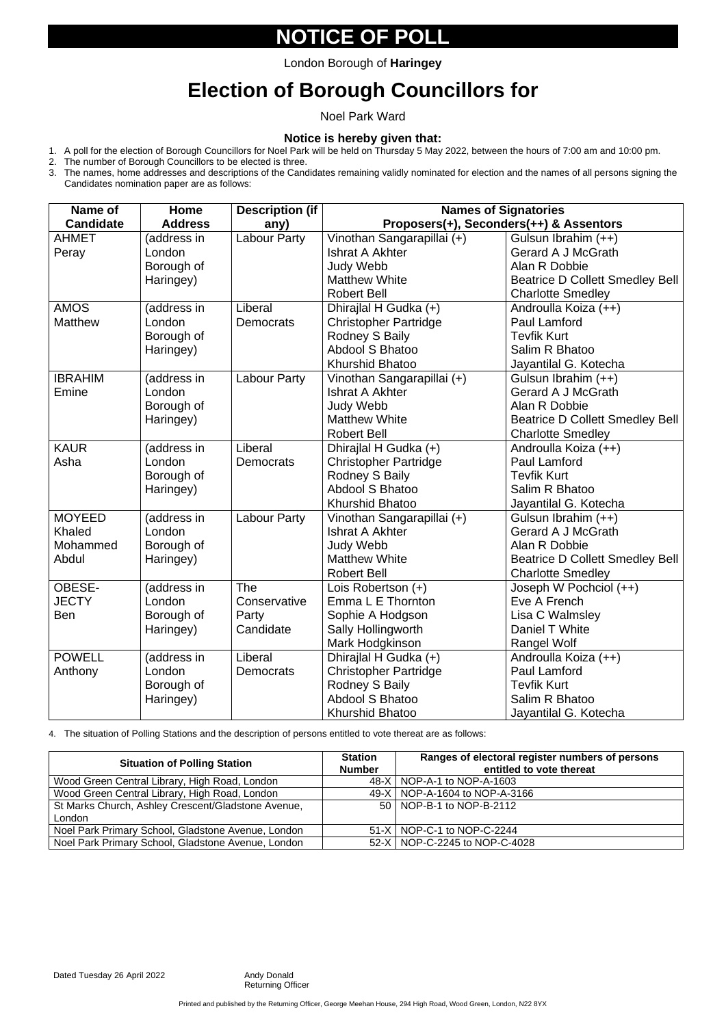## **NOTICE OF POLL**

# **Election of Borough Councillors for**

Noel Park Ward

#### **Notice is hereby given that:**

- 1. A poll for the election of Borough Councillors for Noel Park will be held on Thursday 5 May 2022, between the hours of 7:00 am and 10:00 pm.
- 2. The number of Borough Councillors to be elected is three.
- 3. The names, home addresses and descriptions of the Candidates remaining validly nominated for election and the names of all persons signing the Candidates nomination paper are as follows:

4. The situation of Polling Stations and the description of persons entitled to vote thereat are as follows:

| Name of          | Home           | <b>Description (if</b> | <b>Names of Signatories</b>  |                                         |  |
|------------------|----------------|------------------------|------------------------------|-----------------------------------------|--|
| <b>Candidate</b> | <b>Address</b> | any)                   |                              | Proposers(+), Seconders(++) & Assentors |  |
| <b>AHMET</b>     | (address in    | <b>Labour Party</b>    | Vinothan Sangarapillai (+)   | Gulsun Ibrahim (++)                     |  |
| Peray            | London         |                        | <b>Ishrat A Akhter</b>       | <b>Gerard A J McGrath</b>               |  |
|                  | Borough of     |                        | <b>Judy Webb</b>             | Alan R Dobbie                           |  |
|                  | Haringey)      |                        | <b>Matthew White</b>         | <b>Beatrice D Collett Smedley Bell</b>  |  |
|                  |                |                        | <b>Robert Bell</b>           | <b>Charlotte Smedley</b>                |  |
| <b>AMOS</b>      | (address in    | Liberal                | Dhirajlal H Gudka (+)        | Androulla Koiza (++)                    |  |
| <b>Matthew</b>   | London         | <b>Democrats</b>       | <b>Christopher Partridge</b> | Paul Lamford                            |  |
|                  | Borough of     |                        | Rodney S Baily               | <b>Tevfik Kurt</b>                      |  |
|                  | Haringey)      |                        | <b>Abdool S Bhatoo</b>       | Salim R Bhatoo                          |  |
|                  |                |                        | <b>Khurshid Bhatoo</b>       | Jayantilal G. Kotecha                   |  |
| <b>IBRAHIM</b>   | (address in    | <b>Labour Party</b>    | Vinothan Sangarapillai (+)   | Gulsun Ibrahim (++)                     |  |
| Emine            | London         |                        | <b>Ishrat A Akhter</b>       | <b>Gerard A J McGrath</b>               |  |
|                  | Borough of     |                        | <b>Judy Webb</b>             | Alan R Dobbie                           |  |
|                  | Haringey)      |                        | <b>Matthew White</b>         | <b>Beatrice D Collett Smedley Bell</b>  |  |
|                  |                |                        | <b>Robert Bell</b>           | <b>Charlotte Smedley</b>                |  |
| <b>KAUR</b>      | (address in    | Liberal                | Dhirajlal H Gudka (+)        | Androulla Koiza (++)                    |  |
| Asha             | London         | <b>Democrats</b>       | <b>Christopher Partridge</b> | Paul Lamford                            |  |
|                  | Borough of     |                        | Rodney S Baily               | <b>Tevfik Kurt</b>                      |  |
|                  | Haringey)      |                        | <b>Abdool S Bhatoo</b>       | Salim R Bhatoo                          |  |
|                  |                |                        | <b>Khurshid Bhatoo</b>       | Jayantilal G. Kotecha                   |  |
| <b>MOYEED</b>    | (address in    | <b>Labour Party</b>    | Vinothan Sangarapillai (+)   | Gulsun Ibrahim (++)                     |  |
| <b>Khaled</b>    | London         |                        | <b>Ishrat A Akhter</b>       | <b>Gerard A J McGrath</b>               |  |
| Mohammed         | Borough of     |                        | Judy Webb                    | Alan R Dobbie                           |  |
| Abdul            | Haringey)      |                        | <b>Matthew White</b>         | <b>Beatrice D Collett Smedley Bell</b>  |  |
|                  |                |                        | <b>Robert Bell</b>           | <b>Charlotte Smedley</b>                |  |
| OBESE-           | (address in    | <b>The</b>             | Lois Robertson (+)           | Joseph W Pochciol (++)                  |  |
| <b>JECTY</b>     | London         | Conservative           | Emma L E Thornton            | Eve A French                            |  |
| <b>Ben</b>       | Borough of     | Party                  | Sophie A Hodgson             | Lisa C Walmsley                         |  |
|                  | Haringey)      | Candidate              | Sally Hollingworth           | Daniel T White                          |  |
|                  |                |                        | Mark Hodgkinson              | Rangel Wolf                             |  |
| <b>POWELL</b>    | (address in    | Liberal                | Dhirajlal H Gudka (+)        | Androulla Koiza (++)                    |  |
| Anthony          | London         | <b>Democrats</b>       | <b>Christopher Partridge</b> | Paul Lamford                            |  |
|                  | Borough of     |                        | Rodney S Baily               | <b>Tevfik Kurt</b>                      |  |
|                  | Haringey)      |                        | <b>Abdool S Bhatoo</b>       | Salim R Bhatoo                          |  |
|                  |                |                        | Khurshid Bhatoo              | Jayantilal G. Kotecha                   |  |

Printed and published by the Returning Officer, George Meehan House, 294 High Road, Wood Green, London, N22 8YX

| <b>Situation of Polling Station</b> | <b>Station</b> | Ranges of electoral register numbers of persons |
|-------------------------------------|----------------|-------------------------------------------------|
|                                     | <b>Number</b>  | entitled to vote thereat                        |

| Wood Green Central Library, High Road, London      | 48-X   NOP-A-1 to NOP-A-1603    |
|----------------------------------------------------|---------------------------------|
| Wood Green Central Library, High Road, London      | 49-X   NOP-A-1604 to NOP-A-3166 |
| St Marks Church, Ashley Crescent/Gladstone Avenue, | 50   NOP-B-1 to NOP-B-2112      |
| London                                             |                                 |
| Noel Park Primary School, Gladstone Avenue, London | 51-X   NOP-C-1 to NOP-C-2244    |
| Noel Park Primary School, Gladstone Avenue, London | 52-X   NOP-C-2245 to NOP-C-4028 |

Dated Tuesday 26 April 2022 Andy Donald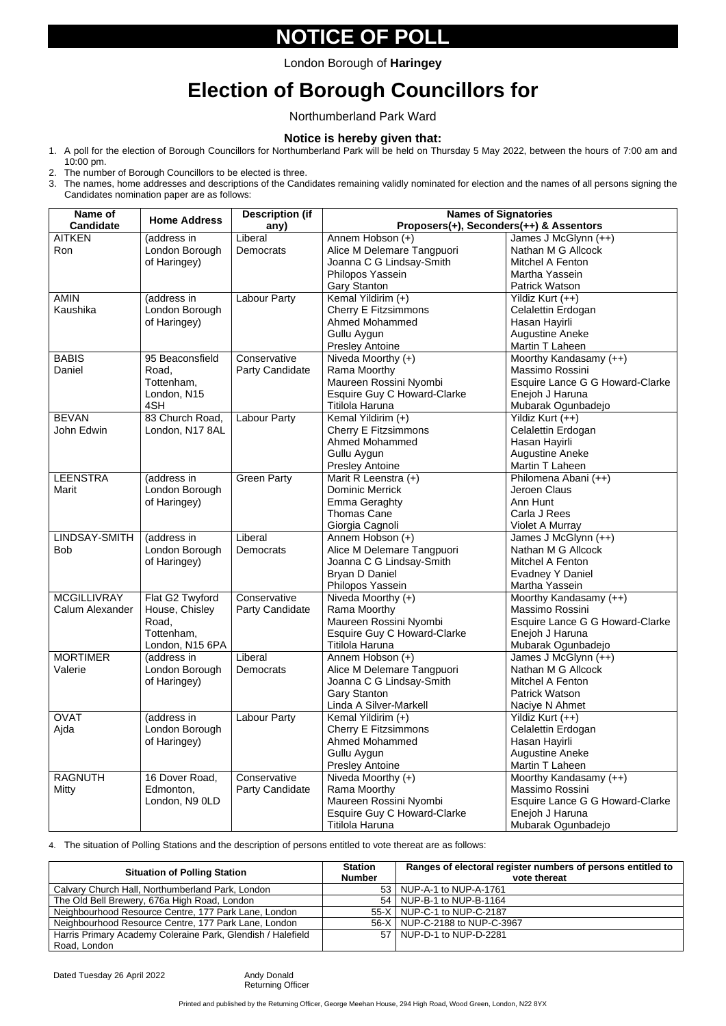## **NOTICE OF POLL**

# **Election of Borough Councillors for**

Northumberland Park Ward

#### **Notice is hereby given that:**

- 1. A poll for the election of Borough Councillors for Northumberland Park will be held on Thursday 5 May 2022, between the hours of 7:00 am and 10:00 pm.
- 2. The number of Borough Councillors to be elected is three.
- 3. The names, home addresses and descriptions of the Candidates remaining validly nominated for election and the names of all persons signing the Candidates nomination paper are as follows:

4. The situation of Polling Stations and the description of persons entitled to vote thereat are as follows:

| Name of<br><b>Candidate</b> | <b>Home Address</b> | <b>Description (if</b><br>any) | <b>Names of Signatories</b><br>Proposers(+), Seconders(++) & Assentors |                                               |
|-----------------------------|---------------------|--------------------------------|------------------------------------------------------------------------|-----------------------------------------------|
| <b>AITKEN</b>               | (address in         | Liberal                        | Annem Hobson (+)                                                       | James J McGlynn (++)                          |
| Ron                         | London Borough      | <b>Democrats</b>               | Alice M Delemare Tangpuori                                             | Nathan M G Allcock                            |
|                             | of Haringey)        |                                | Joanna C G Lindsay-Smith                                               | <b>Mitchel A Fenton</b>                       |
|                             |                     |                                |                                                                        |                                               |
|                             |                     |                                | Philopos Yassein                                                       | Martha Yassein<br><b>Patrick Watson</b>       |
| <b>AMIN</b>                 | (address in         | <b>Labour Party</b>            | <b>Gary Stanton</b>                                                    |                                               |
| Kaushika                    | London Borough      |                                | Kemal Yildirim (+)<br><b>Cherry E Fitzsimmons</b>                      | Yildiz Kurt (++)<br><b>Celalettin Erdogan</b> |
|                             | of Haringey)        |                                | <b>Ahmed Mohammed</b>                                                  | Hasan Hayirli                                 |
|                             |                     |                                | Gullu Aygun                                                            | <b>Augustine Aneke</b>                        |
|                             |                     |                                | <b>Presley Antoine</b>                                                 | Martin T Laheen                               |
| <b>BABIS</b>                | 95 Beaconsfield     | Conservative                   | Niveda Moorthy (+)                                                     | Moorthy Kandasamy (++)                        |
| Daniel                      | Road,               | <b>Party Candidate</b>         | Rama Moorthy                                                           | Massimo Rossini                               |
|                             | Tottenham,          |                                | Maureen Rossini Nyombi                                                 | Esquire Lance G G Howard-Clarke               |
|                             | London, N15         |                                | <b>Esquire Guy C Howard-Clarke</b>                                     | Enejoh J Haruna                               |
|                             | 4SH                 |                                | <b>Titilola Haruna</b>                                                 | Mubarak Ogunbadejo                            |
| <b>BEVAN</b>                | 83 Church Road,     | <b>Labour Party</b>            | Kemal Yildirim (+)                                                     | Yildiz Kurt (++)                              |
| John Edwin                  | London, N17 8AL     |                                | <b>Cherry E Fitzsimmons</b>                                            | Celalettin Erdogan                            |
|                             |                     |                                | <b>Ahmed Mohammed</b>                                                  | Hasan Hayirli                                 |
|                             |                     |                                | Gullu Aygun                                                            | <b>Augustine Aneke</b>                        |
|                             |                     |                                | <b>Presley Antoine</b>                                                 | Martin T Laheen                               |
| <b>LEENSTRA</b>             | (address in         | <b>Green Party</b>             | Marit R Leenstra (+)                                                   | Philomena Abani (++)                          |
| Marit                       | London Borough      |                                | <b>Dominic Merrick</b>                                                 | Jeroen Claus                                  |
|                             | of Haringey)        |                                | <b>Emma Geraghty</b>                                                   | Ann Hunt                                      |
|                             |                     |                                | <b>Thomas Cane</b>                                                     | Carla J Rees                                  |
|                             |                     |                                | Giorgia Cagnoli                                                        | <b>Violet A Murray</b>                        |
| LINDSAY-SMITH               | (address in         | Liberal                        | Annem Hobson (+)                                                       | James J McGlynn (++)                          |
| <b>Bob</b>                  | London Borough      | <b>Democrats</b>               | Alice M Delemare Tangpuori                                             | Nathan M G Allcock                            |
|                             | of Haringey)        |                                | Joanna C G Lindsay-Smith                                               | <b>Mitchel A Fenton</b>                       |
|                             |                     |                                | Bryan D Daniel                                                         | <b>Evadney Y Daniel</b>                       |
|                             |                     |                                | Philopos Yassein                                                       | Martha Yassein                                |
| <b>MCGILLIVRAY</b>          | Flat G2 Twyford     | Conservative                   | Niveda Moorthy $(+)$                                                   | Moorthy Kandasamy (++)                        |
| <b>Calum Alexander</b>      | House, Chisley      | <b>Party Candidate</b>         | Rama Moorthy                                                           | Massimo Rossini                               |
|                             | Road,               |                                | Maureen Rossini Nyombi                                                 | Esquire Lance G G Howard-Clarke               |
|                             | Tottenham,          |                                | Esquire Guy C Howard-Clarke                                            | Enejoh J Haruna                               |
|                             | London, N15 6PA     |                                | Titilola Haruna                                                        | Mubarak Ogunbadejo                            |
| <b>MORTIMER</b>             | (address in         | Liberal                        | Annem Hobson (+)                                                       | James J McGlynn (++)                          |
| Valerie                     | London Borough      | Democrats                      | Alice M Delemare Tangpuori                                             | Nathan M G Allcock                            |
|                             | of Haringey)        |                                | Joanna C G Lindsay-Smith                                               | Mitchel A Fenton                              |
|                             |                     |                                | <b>Gary Stanton</b>                                                    | <b>Patrick Watson</b>                         |
|                             |                     |                                | Linda A Silver-Markell                                                 | Naciye N Ahmet                                |
| <b>OVAT</b>                 | (address in         | <b>Labour Party</b>            | Kemal Yildirim (+)                                                     | Yildiz Kurt (++)                              |
| Ajda                        | London Borough      |                                | <b>Cherry E Fitzsimmons</b>                                            | Celalettin Erdogan                            |
|                             | of Haringey)        |                                | <b>Ahmed Mohammed</b>                                                  | Hasan Hayirli                                 |
|                             |                     |                                | Gullu Aygun                                                            | <b>Augustine Aneke</b>                        |
|                             |                     |                                | <b>Presley Antoine</b>                                                 | Martin T Laheen                               |
| <b>RAGNUTH</b>              | 16 Dover Road,      | Conservative                   | Niveda Moorthy (+)                                                     | Moorthy Kandasamy (++)                        |
| Mitty                       | Edmonton,           | <b>Party Candidate</b>         | Rama Moorthy                                                           | <b>Massimo Rossini</b>                        |
|                             | London, N9 OLD      |                                | Maureen Rossini Nyombi                                                 | Esquire Lance G G Howard-Clarke               |
|                             |                     |                                | <b>Esquire Guy C Howard-Clarke</b>                                     | Enejoh J Haruna                               |
|                             |                     |                                | <b>Titilola Haruna</b>                                                 | Mubarak Ogunbadejo                            |

Printed and published by the Returning Officer, George Meehan House, 294 High Road, Wood Green, London, N22 8YX

| <b>Situation of Polling Station</b>                         | <b>Station</b> | Ranges of electoral register numbers of persons entitled to |
|-------------------------------------------------------------|----------------|-------------------------------------------------------------|
|                                                             | <b>Number</b>  | vote thereat                                                |
| Calvary Church Hall, Northumberland Park, London            |                | 53   NUP-A-1 to NUP-A-1761                                  |
| The Old Bell Brewery, 676a High Road, London                |                | 54   NUP-B-1 to NUP-B-1164                                  |
| Neighbourhood Resource Centre, 177 Park Lane, London        |                | 55-X   NUP-C-1 to NUP-C-2187                                |
| Neighbourhood Resource Centre, 177 Park Lane, London        |                | 56-X   NUP-C-2188 to NUP-C-3967                             |
| Harris Primary Academy Coleraine Park, Glendish / Halefield |                | 57   NUP-D-1 to NUP-D-2281                                  |
| Road, London                                                |                |                                                             |

Dated Tuesday 26 April 2022 Andy Donald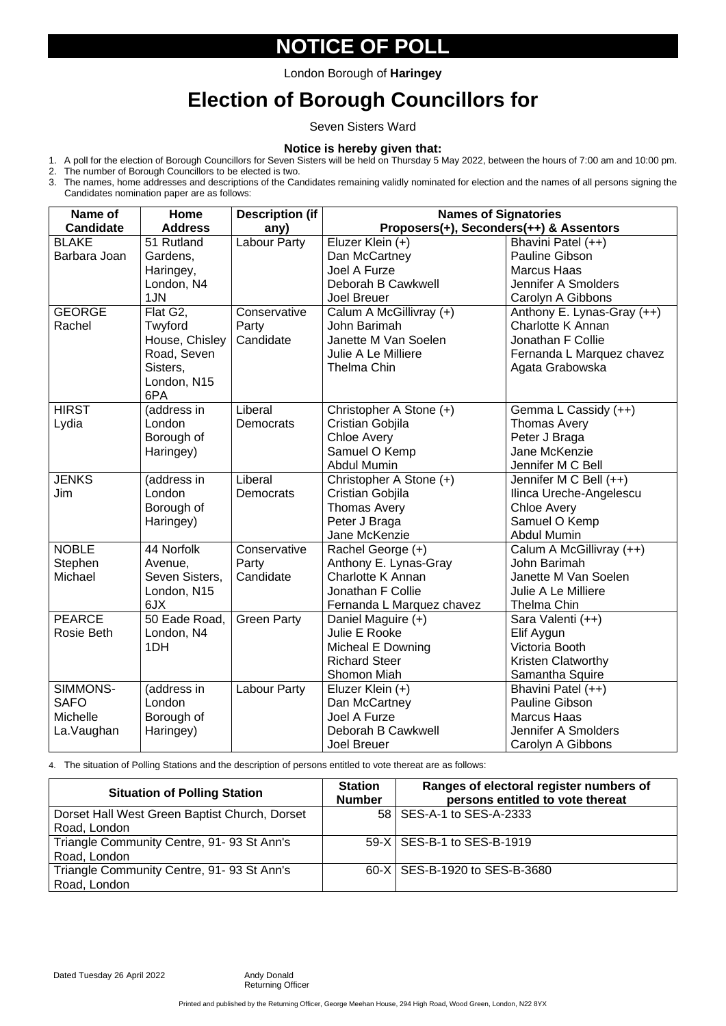# **NOTICE OF POLL**

# **Election of Borough Councillors for**

Seven Sisters Ward

#### **Notice is hereby given that:**

- 1. A poll for the election of Borough Councillors for Seven Sisters will be held on Thursday 5 May 2022, between the hours of 7:00 am and 10:00 pm.
- 2. The number of Borough Councillors to be elected is two.
- 3. The names, home addresses and descriptions of the Candidates remaining validly nominated for election and the names of all persons signing the Candidates nomination paper are as follows:

4. The situation of Polling Stations and the description of persons entitled to vote thereat are as follows:

| Name of          | Home           | <b>Description (if</b> | <b>Names of Signatories</b>             |                            |  |
|------------------|----------------|------------------------|-----------------------------------------|----------------------------|--|
| <b>Candidate</b> | <b>Address</b> | any)                   | Proposers(+), Seconders(++) & Assentors |                            |  |
| <b>BLAKE</b>     | 51 Rutland     | Labour Party           | Eluzer Klein (+)                        | Bhavini Patel (++)         |  |
| Barbara Joan     | Gardens,       |                        | Dan McCartney                           | <b>Pauline Gibson</b>      |  |
|                  | Haringey,      |                        | <b>Joel A Furze</b>                     | <b>Marcus Haas</b>         |  |
|                  | London, N4     |                        | Deborah B Cawkwell                      | <b>Jennifer A Smolders</b> |  |
|                  | 1JN            |                        | <b>Joel Breuer</b>                      | Carolyn A Gibbons          |  |
| <b>GEORGE</b>    | Flat G2,       | Conservative           | Calum A McGillivray (+)                 | Anthony E. Lynas-Gray (++) |  |
| Rachel           | Twyford        | Party                  | John Barimah                            | Charlotte K Annan          |  |
|                  | House, Chisley | Candidate              | Janette M Van Soelen                    | <b>Jonathan F Collie</b>   |  |
|                  | Road, Seven    |                        | Julie A Le Milliere                     | Fernanda L Marquez chavez  |  |
|                  | Sisters,       |                        | <b>Thelma Chin</b>                      | Agata Grabowska            |  |
|                  | London, N15    |                        |                                         |                            |  |
|                  | 6PA            |                        |                                         |                            |  |
| <b>HIRST</b>     | (address in    | Liberal                | Christopher A Stone (+)                 | Gemma L Cassidy (++)       |  |
| Lydia            | London         | <b>Democrats</b>       | <b>Cristian Gobjila</b>                 | <b>Thomas Avery</b>        |  |
|                  | Borough of     |                        | <b>Chloe Avery</b>                      | Peter J Braga              |  |
|                  | Haringey)      |                        | Samuel O Kemp                           | Jane McKenzie              |  |
|                  |                |                        | <b>Abdul Mumin</b>                      | Jennifer M C Bell          |  |
| <b>JENKS</b>     | (address in    | Liberal                | Christopher A Stone (+)                 | Jennifer M C Bell (++)     |  |
| Jim              | London         | <b>Democrats</b>       | <b>Cristian Gobjila</b>                 | Ilinca Ureche-Angelescu    |  |
|                  | Borough of     |                        | <b>Thomas Avery</b>                     | <b>Chloe Avery</b>         |  |
|                  | Haringey)      |                        | Peter J Braga                           | Samuel O Kemp              |  |
|                  |                |                        | Jane McKenzie                           | <b>Abdul Mumin</b>         |  |
| <b>NOBLE</b>     | 44 Norfolk     | Conservative           | Rachel George (+)                       | Calum A McGillivray (++)   |  |
| Stephen          | Avenue,        | Party                  | Anthony E. Lynas-Gray                   | John Barimah               |  |
| Michael          | Seven Sisters, | Candidate              | <b>Charlotte K Annan</b>                | Janette M Van Soelen       |  |
|                  | London, N15    |                        | Jonathan F Collie                       | Julie A Le Milliere        |  |
|                  | 6JX            |                        | Fernanda L Marquez chavez               | Thelma Chin                |  |
| <b>PEARCE</b>    | 50 Eade Road,  | <b>Green Party</b>     | Daniel Maguire (+)                      | Sara Valenti (++)          |  |
| Rosie Beth       | London, N4     |                        | Julie E Rooke                           | Elif Aygun                 |  |
|                  | 1DH            |                        | Micheal E Downing                       | Victoria Booth             |  |
|                  |                |                        | <b>Richard Steer</b>                    | <b>Kristen Clatworthy</b>  |  |
|                  |                |                        | <b>Shomon Miah</b>                      | Samantha Squire            |  |
| SIMMONS-         | (address in    | Labour Party           | Eluzer Klein (+)                        | Bhavini Patel (++)         |  |
| <b>SAFO</b>      | London         |                        | Dan McCartney                           | <b>Pauline Gibson</b>      |  |
| <b>Michelle</b>  | Borough of     |                        | Joel A Furze                            | <b>Marcus Haas</b>         |  |
| La.Vaughan       | Haringey)      |                        | Deborah B Cawkwell                      | Jennifer A Smolders        |  |
|                  |                |                        | <b>Joel Breuer</b>                      | Carolyn A Gibbons          |  |

Printed and published by the Returning Officer, George Meehan House, 294 High Road, Wood Green, London, N22 8YX

| <b>Situation of Polling Station</b>           | <b>Station</b><br><b>Number</b> | Ranges of electoral register numbers of<br>persons entitled to vote thereat |
|-----------------------------------------------|---------------------------------|-----------------------------------------------------------------------------|
| Dorset Hall West Green Baptist Church, Dorset |                                 | 58   SES-A-1 to SES-A-2333                                                  |
| Road, London                                  |                                 |                                                                             |
| Triangle Community Centre, 91-93 St Ann's     |                                 | 59-X   SES-B-1 to SES-B-1919                                                |
| Road, London                                  |                                 |                                                                             |
| Triangle Community Centre, 91-93 St Ann's     |                                 | 60-X   SES-B-1920 to SES-B-3680                                             |
| Road, London                                  |                                 |                                                                             |

Dated Tuesday 26 April 2022 Andy Donald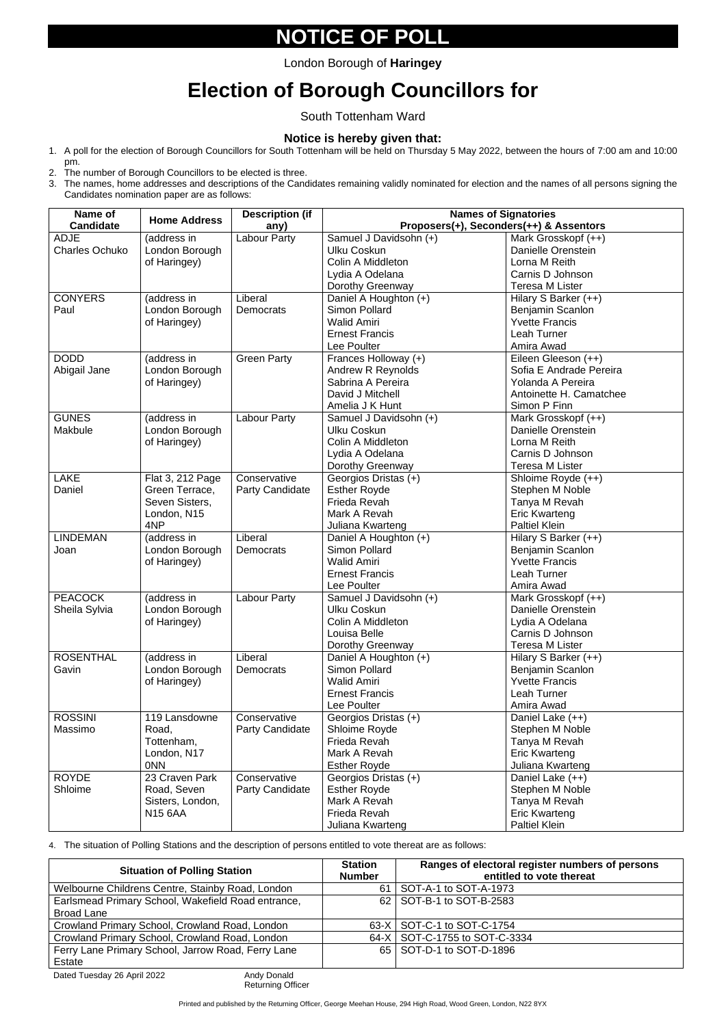## **NOTICE OF POLL**

# **Election of Borough Councillors for**

South Tottenham Ward

#### **Notice is hereby given that:**

- 1. A poll for the election of Borough Councillors for South Tottenham will be held on Thursday 5 May 2022, between the hours of 7:00 am and 10:00 pm.
- 2. The number of Borough Councillors to be elected is three.
- 3. The names, home addresses and descriptions of the Candidates remaining validly nominated for election and the names of all persons signing the Candidates nomination paper are as follows:

4. The situation of Polling Stations and the description of persons entitled to vote thereat are as follows:

| Name of               |                     | <b>Description (if</b> | <b>Names of Signatories</b>             |                           |  |
|-----------------------|---------------------|------------------------|-----------------------------------------|---------------------------|--|
| <b>Candidate</b>      | <b>Home Address</b> | any)                   | Proposers(+), Seconders(++) & Assentors |                           |  |
| <b>ADJE</b>           | (address in         | <b>Labour Party</b>    | Samuel J Davidsohn (+)                  | Mark Grosskopf (++)       |  |
| <b>Charles Ochuko</b> | London Borough      |                        | <b>Ulku Coskun</b>                      | <b>Danielle Orenstein</b> |  |
|                       | of Haringey)        |                        | Colin A Middleton                       | Lorna M Reith             |  |
|                       |                     |                        | Lydia A Odelana                         | Carnis D Johnson          |  |
|                       |                     |                        | Dorothy Greenway                        | <b>Teresa M Lister</b>    |  |
| <b>CONYERS</b>        | (address in         | Liberal                | Daniel A Houghton (+)                   | Hilary S Barker (++)      |  |
| Paul                  | London Borough      | Democrats              | Simon Pollard                           | Benjamin Scanlon          |  |
|                       | of Haringey)        |                        | <b>Walid Amiri</b>                      | <b>Yvette Francis</b>     |  |
|                       |                     |                        | <b>Ernest Francis</b>                   | Leah Turner               |  |
|                       |                     |                        | Lee Poulter                             | Amira Awad                |  |
| <b>DODD</b>           | (address in         | <b>Green Party</b>     | Frances Holloway (+)                    | Eileen Gleeson (++)       |  |
| Abigail Jane          | London Borough      |                        | <b>Andrew R Reynolds</b>                | Sofia E Andrade Pereira   |  |
|                       | of Haringey)        |                        | Sabrina A Pereira                       | Yolanda A Pereira         |  |
|                       |                     |                        | David J Mitchell                        | Antoinette H. Camatchee   |  |
|                       |                     |                        | Amelia J K Hunt                         | Simon P Finn              |  |
| <b>GUNES</b>          | (address in         | <b>Labour Party</b>    | Samuel J Davidsohn (+)                  | Mark Grosskopf (++)       |  |
| Makbule               | London Borough      |                        | <b>Ulku Coskun</b>                      | Danielle Orenstein        |  |
|                       | of Haringey)        |                        | Colin A Middleton                       | Lorna M Reith             |  |
|                       |                     |                        | Lydia A Odelana                         | Carnis D Johnson          |  |
|                       |                     |                        | Dorothy Greenway                        | <b>Teresa M Lister</b>    |  |
| <b>LAKE</b>           | Flat 3, 212 Page    | Conservative           | Georgios Dristas (+)                    | Shloime Royde (++)        |  |
| Daniel                | Green Terrace,      | <b>Party Candidate</b> | <b>Esther Royde</b>                     | Stephen M Noble           |  |
|                       | Seven Sisters,      |                        | Frieda Revah                            | Tanya M Revah             |  |
|                       | London, N15         |                        | Mark A Revah                            | <b>Eric Kwarteng</b>      |  |
|                       | 4NP                 |                        | Juliana Kwarteng                        | <b>Paltiel Klein</b>      |  |
| <b>LINDEMAN</b>       | (address in         | Liberal                | Daniel A Houghton (+)                   | Hilary S Barker (++)      |  |
| Joan                  | London Borough      | Democrats              | <b>Simon Pollard</b>                    | Benjamin Scanlon          |  |
|                       | of Haringey)        |                        | <b>Walid Amiri</b>                      | <b>Yvette Francis</b>     |  |
|                       |                     |                        | <b>Ernest Francis</b>                   | Leah Turner               |  |
|                       |                     |                        | Lee Poulter                             | Amira Awad                |  |
| <b>PEACOCK</b>        | (address in         | Labour Party           | Samuel J Davidsohn (+)                  | Mark Grosskopf (++)       |  |
| Sheila Sylvia         | London Borough      |                        | <b>Ulku Coskun</b>                      | Danielle Orenstein        |  |
|                       | of Haringey)        |                        | Colin A Middleton                       | Lydia A Odelana           |  |
|                       |                     |                        | Louisa Belle                            | Carnis D Johnson          |  |
|                       |                     |                        | Dorothy Greenway                        | <b>Teresa M Lister</b>    |  |
| <b>ROSENTHAL</b>      | (address in         | Liberal                | Daniel A Houghton (+)                   | Hilary S Barker (++)      |  |
| Gavin                 | London Borough      | Democrats              | Simon Pollard                           | <b>Benjamin Scanlon</b>   |  |
|                       | of Haringey)        |                        | <b>Walid Amiri</b>                      | <b>Yvette Francis</b>     |  |
|                       |                     |                        | <b>Ernest Francis</b>                   | Leah Turner               |  |
|                       |                     |                        | Lee Poulter                             | Amira Awad                |  |
| <b>ROSSINI</b>        | 119 Lansdowne       | Conservative           | Georgios Dristas (+)                    | Daniel Lake (++)          |  |
| Massimo               | Road,               | Party Candidate        | Shloime Royde                           | Stephen M Noble           |  |
|                       | Tottenham,          |                        | Frieda Revah                            | Tanya M Revah             |  |
|                       | London, N17         |                        | Mark A Revah                            | <b>Eric Kwarteng</b>      |  |
|                       | 0 <sub>N</sub>      |                        | <b>Esther Royde</b>                     | Juliana Kwarteng          |  |
| <b>ROYDE</b>          | 23 Craven Park      | Conservative           | Georgios Dristas (+)                    | Daniel Lake (++)          |  |
| Shloime               | Road, Seven         | Party Candidate        | <b>Esther Royde</b>                     | Stephen M Noble           |  |
|                       | Sisters, London,    |                        | Mark A Revah                            | Tanya M Revah             |  |
|                       | <b>N15 6AA</b>      |                        | Frieda Revah                            | <b>Eric Kwarteng</b>      |  |
|                       |                     |                        | Juliana Kwarteng                        | <b>Paltiel Klein</b>      |  |

| <b>Situation of Polling Station</b>                | <b>Station</b><br><b>Number</b> | Ranges of electoral register numbers of persons<br>entitled to vote thereat |
|----------------------------------------------------|---------------------------------|-----------------------------------------------------------------------------|
| Welbourne Childrens Centre, Stainby Road, London   |                                 | 61   SOT-A-1 to SOT-A-1973                                                  |
| Earlsmead Primary School, Wakefield Road entrance, |                                 | 62   SOT-B-1 to SOT-B-2583                                                  |
| <b>Broad Lane</b>                                  |                                 |                                                                             |
| Crowland Primary School, Crowland Road, London     |                                 | 63-X   SOT-C-1 to SOT-C-1754                                                |
| Crowland Primary School, Crowland Road, London     |                                 | 64-X   SOT-C-1755 to SOT-C-3334                                             |
| Ferry Lane Primary School, Jarrow Road, Ferry Lane |                                 | 65   SOT-D-1 to SOT-D-1896                                                  |
| Estate                                             |                                 |                                                                             |

Dated Tuesday 26 April 2022 Andy Donald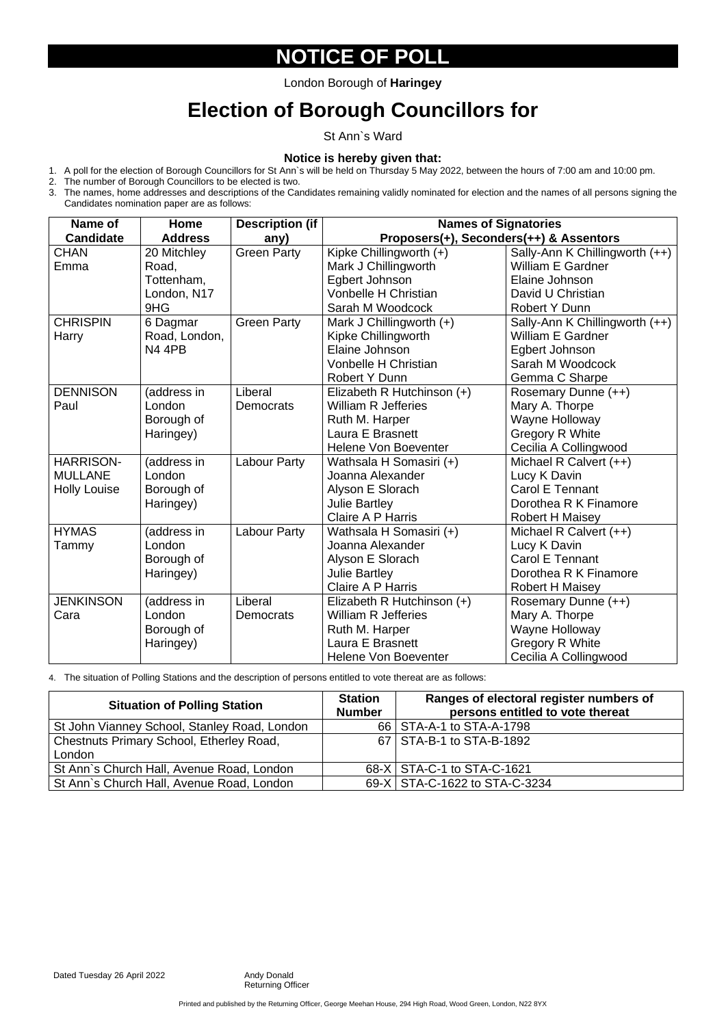### **NOTICE OF POLL**

# **Election of Borough Councillors for**

St Ann`s Ward

#### **Notice is hereby given that:**

- 1. A poll for the election of Borough Councillors for St Ann`s will be held on Thursday 5 May 2022, between the hours of 7:00 am and 10:00 pm.
- 2. The number of Borough Councillors to be elected is two.
- 3. The names, home addresses and descriptions of the Candidates remaining validly nominated for election and the names of all persons signing the Candidates nomination paper are as follows:

4. The situation of Polling Stations and the description of persons entitled to vote thereat are as follows:

| Name of             | <b>Home</b>    | <b>Description (if</b> | <b>Names of Signatories</b>             |                                |  |
|---------------------|----------------|------------------------|-----------------------------------------|--------------------------------|--|
| <b>Candidate</b>    | <b>Address</b> | any)                   | Proposers(+), Seconders(++) & Assentors |                                |  |
| <b>CHAN</b>         | 20 Mitchley    | <b>Green Party</b>     | Kipke Chillingworth (+)                 | Sally-Ann K Chillingworth (++) |  |
| Emma                | Road.          |                        | Mark J Chillingworth                    | <b>William E Gardner</b>       |  |
|                     | Tottenham,     |                        | Egbert Johnson                          | Elaine Johnson                 |  |
|                     | London, N17    |                        | <b>Vonbelle H Christian</b>             | David U Christian              |  |
|                     | 9HG            |                        | Sarah M Woodcock                        | <b>Robert Y Dunn</b>           |  |
| <b>CHRISPIN</b>     | 6 Dagmar       | <b>Green Party</b>     | Mark J Chillingworth (+)                | Sally-Ann K Chillingworth (++) |  |
| Harry               | Road, London,  |                        | Kipke Chillingworth                     | <b>William E Gardner</b>       |  |
|                     | <b>N4 4PB</b>  |                        | Elaine Johnson                          | Egbert Johnson                 |  |
|                     |                |                        | <b>Vonbelle H Christian</b>             | Sarah M Woodcock               |  |
|                     |                |                        | <b>Robert Y Dunn</b>                    | Gemma C Sharpe                 |  |
| <b>DENNISON</b>     | (address in    | Liberal                | Elizabeth R Hutchinson (+)              | Rosemary Dunne (++)            |  |
| Paul                | London         | <b>Democrats</b>       | <b>William R Jefferies</b>              | Mary A. Thorpe                 |  |
|                     | Borough of     |                        | Ruth M. Harper                          | <b>Wayne Holloway</b>          |  |
|                     | Haringey)      |                        | Laura E Brasnett                        | <b>Gregory R White</b>         |  |
|                     |                |                        | <b>Helene Von Boeventer</b>             | Cecilia A Collingwood          |  |
| <b>HARRISON-</b>    | (address in    | Labour Party           | Wathsala H Somasiri (+)                 | Michael R Calvert (++)         |  |
| <b>MULLANE</b>      | London         |                        | Joanna Alexander                        | Lucy K Davin                   |  |
| <b>Holly Louise</b> | Borough of     |                        | Alyson E Slorach                        | <b>Carol E Tennant</b>         |  |
|                     | Haringey)      |                        | <b>Julie Bartley</b>                    | Dorothea R K Finamore          |  |
|                     |                |                        | <b>Claire A P Harris</b>                | <b>Robert H Maisey</b>         |  |
| <b>HYMAS</b>        | (address in    | Labour Party           | Wathsala H Somasiri (+)                 | Michael R Calvert (++)         |  |
| Tammy               | London         |                        | Joanna Alexander                        | Lucy K Davin                   |  |
|                     | Borough of     |                        | Alyson E Slorach                        | <b>Carol E Tennant</b>         |  |
|                     | Haringey)      |                        | <b>Julie Bartley</b>                    | Dorothea R K Finamore          |  |
|                     |                |                        | <b>Claire A P Harris</b>                | <b>Robert H Maisey</b>         |  |
| <b>JENKINSON</b>    | (address in    | Liberal                | Elizabeth R Hutchinson (+)              | Rosemary Dunne (++)            |  |
| Cara                | London         | <b>Democrats</b>       | <b>William R Jefferies</b>              | Mary A. Thorpe                 |  |
|                     | Borough of     |                        | Ruth M. Harper                          | <b>Wayne Holloway</b>          |  |
|                     | Haringey)      |                        | Laura E Brasnett                        | <b>Gregory R White</b>         |  |
|                     |                |                        | <b>Helene Von Boeventer</b>             | Cecilia A Collingwood          |  |

Printed and published by the Returning Officer, George Meehan House, 294 High Road, Wood Green, London, N22 8YX

| <b>Situation of Polling Station</b>             | <b>Station</b><br><b>Number</b> | Ranges of electoral register numbers of<br>persons entitled to vote thereat |
|-------------------------------------------------|---------------------------------|-----------------------------------------------------------------------------|
| St John Vianney School, Stanley Road, London    |                                 | 66   STA-A-1 to STA-A-1798                                                  |
| <b>Chestnuts Primary School, Etherley Road,</b> |                                 | 67   STA-B-1 to STA-B-1892                                                  |
| London                                          |                                 |                                                                             |
| St Ann's Church Hall, Avenue Road, London       |                                 | 68-X   STA-C-1 to STA-C-1621                                                |
| St Ann's Church Hall, Avenue Road, London       |                                 | 69-X   STA-C-1622 to STA-C-3234                                             |

Dated Tuesday 26 April 2022 Andy Donald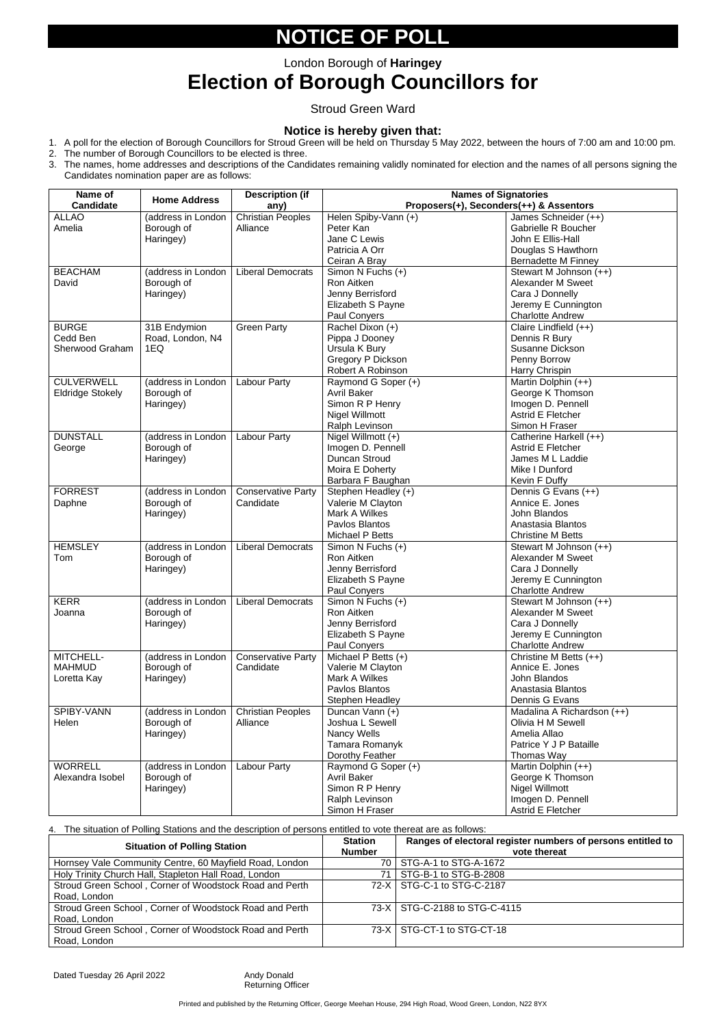## **NOTICE OF POLL**

### **Election of Borough Councillors for**

#### Stroud Green Ward

#### **Notice is hereby given that:**

- 1. A poll for the election of Borough Councillors for Stroud Green will be held on Thursday 5 May 2022, between the hours of 7:00 am and 10:00 pm.
- 2. The number of Borough Councillors to be elected is three.
- 3. The names, home addresses and descriptions of the Candidates remaining validly nominated for election and the names of all persons signing the Candidates nomination paper are as follows:

| Name of<br><b>Candidate</b> | <b>Home Address</b> | <b>Description (if</b><br>any)         | <b>Names of Signatories</b><br>Proposers(+), Seconders(++) & Assentors |                                        |  |
|-----------------------------|---------------------|----------------------------------------|------------------------------------------------------------------------|----------------------------------------|--|
| <b>ALLAO</b>                | (address in London  | <b>Christian Peoples</b>               | Helen Spiby-Vann (+)                                                   | James Schneider (++)                   |  |
|                             |                     |                                        |                                                                        |                                        |  |
| Amelia                      | Borough of          | Alliance                               | Peter Kan                                                              | <b>Gabrielle R Boucher</b>             |  |
|                             | Haringey)           |                                        | Jane C Lewis                                                           | John E Ellis-Hall                      |  |
|                             |                     |                                        | Patricia A Orr                                                         | Douglas S Hawthorn                     |  |
|                             |                     |                                        | Ceiran A Bray                                                          | <b>Bernadette M Finney</b>             |  |
| <b>BEACHAM</b>              | (address in London  | <b>Liberal Democrats</b>               | Simon N Fuchs (+)                                                      | Stewart M Johnson (++)                 |  |
| David                       | Borough of          |                                        | <b>Ron Aitken</b>                                                      | Alexander M Sweet                      |  |
|                             | Haringey)           |                                        | Jenny Berrisford                                                       | Cara J Donnelly                        |  |
|                             |                     |                                        | Elizabeth S Payne                                                      | Jeremy E Cunnington                    |  |
|                             |                     |                                        | Paul Conyers                                                           | <b>Charlotte Andrew</b>                |  |
| <b>BURGE</b>                | 31B Endymion        | <b>Green Party</b>                     | Rachel Dixon (+)                                                       | Claire Lindfield (++)                  |  |
| Cedd Ben                    | Road, London, N4    |                                        | Pippa J Dooney                                                         | Dennis R Bury                          |  |
| Sherwood Graham             | 1EQ                 |                                        | Ursula K Bury                                                          | Susanne Dickson                        |  |
|                             |                     |                                        | <b>Gregory P Dickson</b>                                               | Penny Borrow                           |  |
|                             |                     |                                        | Robert A Robinson                                                      | Harry Chrispin                         |  |
| <b>CULVERWELL</b>           | (address in London  | <b>Labour Party</b>                    | Raymond G Soper (+)                                                    | Martin Dolphin (++)                    |  |
| <b>Eldridge Stokely</b>     | Borough of          |                                        | <b>Avril Baker</b>                                                     | George K Thomson                       |  |
|                             | Haringey)           |                                        | Simon R P Henry                                                        | Imogen D. Pennell                      |  |
|                             |                     |                                        | <b>Nigel Willmott</b>                                                  | <b>Astrid E Fletcher</b>               |  |
|                             |                     |                                        | Ralph Levinson                                                         | Simon H Fraser                         |  |
| <b>DUNSTALL</b>             | (address in London  | <b>Labour Party</b>                    | Nigel Willmott $(+)$                                                   | Catherine Harkell (++)                 |  |
| George                      | Borough of          |                                        | Imogen D. Pennell                                                      | <b>Astrid E Fletcher</b>               |  |
|                             |                     |                                        | Duncan Stroud                                                          | James M L Laddie                       |  |
|                             | Haringey)           |                                        | Moira E Doherty                                                        | Mike I Dunford                         |  |
|                             |                     |                                        |                                                                        |                                        |  |
| <b>FORREST</b>              | (address in London  |                                        | Barbara F Baughan                                                      | Kevin F Duffy                          |  |
|                             |                     | <b>Conservative Party</b><br>Candidate | Stephen Headley (+)                                                    | Dennis G Evans (++)<br>Annice E. Jones |  |
| Daphne                      | Borough of          |                                        | Valerie M Clayton                                                      |                                        |  |
|                             | Haringey)           |                                        | Mark A Wilkes                                                          | John Blandos                           |  |
|                             |                     |                                        | Pavlos Blantos                                                         | Anastasia Blantos                      |  |
|                             |                     |                                        | Michael P Betts                                                        | <b>Christine M Betts</b>               |  |
| <b>HEMSLEY</b>              | (address in London  | <b>Liberal Democrats</b>               | Simon N Fuchs (+)                                                      | Stewart M Johnson (++)                 |  |
| Tom                         | Borough of          |                                        | <b>Ron Aitken</b>                                                      | <b>Alexander M Sweet</b>               |  |
|                             | Haringey)           |                                        | Jenny Berrisford                                                       | Cara J Donnelly                        |  |
|                             |                     |                                        | Elizabeth S Payne                                                      | Jeremy E Cunnington                    |  |
|                             |                     |                                        | Paul Conyers                                                           | <b>Charlotte Andrew</b>                |  |
| <b>KERR</b>                 | (address in London  | <b>Liberal Democrats</b>               | Simon N Fuchs (+)                                                      | Stewart M Johnson (++)                 |  |
| Joanna                      | Borough of          |                                        | Ron Aitken                                                             | Alexander M Sweet                      |  |
|                             | Haringey)           |                                        | Jenny Berrisford                                                       | Cara J Donnelly                        |  |
|                             |                     |                                        | Elizabeth S Payne                                                      | Jeremy E Cunnington                    |  |
|                             |                     |                                        | Paul Conyers                                                           | <b>Charlotte Andrew</b>                |  |
| MITCHELL-                   | (address in London  | <b>Conservative Party</b>              | Michael P Betts (+)                                                    | Christine M Betts (++)                 |  |
| <b>MAHMUD</b>               | Borough of          | Candidate                              | Valerie M Clayton                                                      | Annice E. Jones                        |  |
| Loretta Kay                 | Haringey)           |                                        | Mark A Wilkes                                                          | John Blandos                           |  |
|                             |                     |                                        | Pavlos Blantos                                                         | Anastasia Blantos                      |  |
|                             |                     |                                        | <b>Stephen Headley</b>                                                 | Dennis G Evans                         |  |
| SPIBY-VANN                  | (address in London  | <b>Christian Peoples</b>               | Duncan Vann (+)                                                        | Madalina A Richardson (++)             |  |
| Helen                       | Borough of          | Alliance                               | Joshua L Sewell                                                        | Olivia H M Sewell                      |  |
|                             | Haringey)           |                                        | Nancy Wells                                                            | Amelia Allao                           |  |
|                             |                     |                                        | Tamara Romanyk                                                         | Patrice Y J P Bataille                 |  |
|                             |                     |                                        | Dorothy Feather                                                        | Thomas Way                             |  |
| <b>WORRELL</b>              | (address in London  | <b>Labour Party</b>                    | Raymond G Soper (+)                                                    | Martin Dolphin (++)                    |  |
| Alexandra Isobel            | Borough of          |                                        | <b>Avril Baker</b>                                                     | George K Thomson                       |  |
|                             | Haringey)           |                                        | Simon R P Henry                                                        | Nigel Willmott                         |  |
|                             |                     |                                        | Ralph Levinson                                                         | Imogen D. Pennell                      |  |
|                             |                     |                                        | Simon H Fraser                                                         | Astrid E Fletcher                      |  |

4. The situation of Polling Stations and the description of persons entitled to vote thereat are as follows:

Printed and published by the Returning Officer, George Meehan House, 294 High Road, Wood Green, London, N22 8YX

| <b>Situation of Polling Station</b>                     | <b>Station</b><br><b>Number</b> | Ranges of electoral register numbers of persons entitled to<br>vote thereat |
|---------------------------------------------------------|---------------------------------|-----------------------------------------------------------------------------|
| Hornsey Vale Community Centre, 60 Mayfield Road, London |                                 | 70   STG-A-1 to STG-A-1672                                                  |
| Holy Trinity Church Hall, Stapleton Hall Road, London   | 71                              | STG-B-1 to STG-B-2808                                                       |
| Stroud Green School, Corner of Woodstock Road and Perth |                                 | 72-X STG-C-1 to STG-C-2187                                                  |
| Road, London                                            |                                 |                                                                             |
| Stroud Green School, Corner of Woodstock Road and Perth |                                 | 73-X   STG-C-2188 to STG-C-4115                                             |
| Road, London                                            |                                 |                                                                             |
| Stroud Green School, Corner of Woodstock Road and Perth |                                 | 73-X STG-CT-1 to STG-CT-18                                                  |
| Road, London                                            |                                 |                                                                             |

Dated Tuesday 26 April 2022 Andy Donald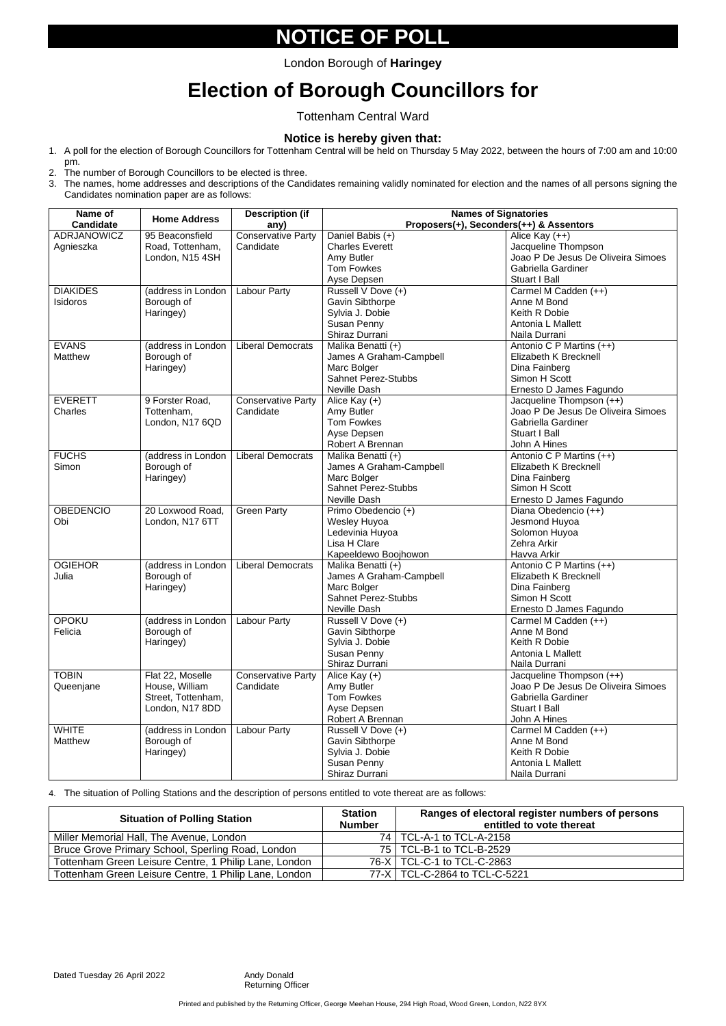## **NOTICE OF POLL**

# **Election of Borough Councillors for**

Tottenham Central Ward

#### **Notice is hereby given that:**

- 1. A poll for the election of Borough Councillors for Tottenham Central will be held on Thursday 5 May 2022, between the hours of 7:00 am and 10:00 pm.
- 2. The number of Borough Councillors to be elected is three.
- 3. The names, home addresses and descriptions of the Candidates remaining validly nominated for election and the names of all persons signing the Candidates nomination paper are as follows:

| Name of<br><b>Candidate</b> | <b>Home Address</b>                                                         | <b>Description (if</b><br>any)         | <b>Names of Signatories</b><br>Proposers(+), Seconders(++) & Assentors                                     |                                                                                                                       |  |
|-----------------------------|-----------------------------------------------------------------------------|----------------------------------------|------------------------------------------------------------------------------------------------------------|-----------------------------------------------------------------------------------------------------------------------|--|
| ADRJANOWICZ                 | 95 Beaconsfield                                                             | <b>Conservative Party</b>              | Daniel Babis (+)                                                                                           | Alice Kay (++)                                                                                                        |  |
| Agnieszka                   | Road, Tottenham,<br>London, N15 4SH                                         | Candidate                              | <b>Charles Everett</b><br>Amy Butler<br><b>Tom Fowkes</b><br>Ayse Depsen                                   | Jacqueline Thompson<br>Joao P De Jesus De Oliveira Simoes<br>Gabriella Gardiner<br><b>Stuart I Ball</b>               |  |
| <b>DIAKIDES</b><br>Isidoros | (address in London<br>Borough of<br>Haringey)                               | <b>Labour Party</b>                    | Russell V Dove (+)<br><b>Gavin Sibthorpe</b><br>Sylvia J. Dobie<br>Susan Penny<br>Shiraz Durrani           | Carmel M Cadden (++)<br>Anne M Bond<br>Keith R Dobie<br>Antonia L Mallett<br>Naila Durrani                            |  |
| <b>EVANS</b><br>Matthew     | (address in London<br>Borough of<br>Haringey)                               | <b>Liberal Democrats</b>               | Malika Benatti (+)<br>James A Graham-Campbell<br>Marc Bolger<br><b>Sahnet Perez-Stubbs</b><br>Neville Dash | Antonio C P Martins (++)<br>Elizabeth K Brecknell<br>Dina Fainberg<br>Simon H Scott<br>Ernesto D James Fagundo        |  |
| <b>EVERETT</b><br>Charles   | 9 Forster Road,<br>Tottenham,<br>London, N17 6QD                            | <b>Conservative Party</b><br>Candidate | Alice Kay $(+)$<br>Amy Butler<br><b>Tom Fowkes</b><br>Ayse Depsen<br>Robert A Brennan                      | Jacqueline Thompson (++)<br>Joao P De Jesus De Oliveira Simoes<br>Gabriella Gardiner<br>Stuart I Ball<br>John A Hines |  |
| <b>FUCHS</b><br>Simon       | (address in London<br>Borough of<br>Haringey)                               | <b>Liberal Democrats</b>               | Malika Benatti (+)<br>James A Graham-Campbell<br>Marc Bolger<br><b>Sahnet Perez-Stubbs</b><br>Neville Dash | Antonio C P Martins (++)<br>Elizabeth K Brecknell<br>Dina Fainberg<br>Simon H Scott<br>Ernesto D James Fagundo        |  |
| <b>OBEDENCIO</b><br>Obi     | 20 Loxwood Road,<br>London, N17 6TT                                         | <b>Green Party</b>                     | Primo Obedencio (+)<br>Wesley Huyoa<br>Ledevinia Huyoa<br>Lisa H Clare<br>Kapeeldewo Boojhowon             | Diana Obedencio (++)<br>Jesmond Huyoa<br>Solomon Huyoa<br>Zehra Arkir<br>Havva Arkir                                  |  |
| <b>OGIEHOR</b><br>Julia     | (address in London<br>Borough of<br>Haringey)                               | <b>Liberal Democrats</b>               | Malika Benatti (+)<br>James A Graham-Campbell<br>Marc Bolger<br><b>Sahnet Perez-Stubbs</b><br>Neville Dash | Antonio C P Martins (++)<br><b>Elizabeth K Brecknell</b><br>Dina Fainberg<br>Simon H Scott<br>Ernesto D James Fagundo |  |
| <b>OPOKU</b><br>Felicia     | (address in London<br>Borough of<br>Haringey)                               | <b>Labour Party</b>                    | Russell V Dove (+)<br><b>Gavin Sibthorpe</b><br>Sylvia J. Dobie<br>Susan Penny<br>Shiraz Durrani           | Carmel M Cadden (++)<br>Anne M Bond<br>Keith R Dobie<br>Antonia L Mallett<br>Naila Durrani                            |  |
| <b>TOBIN</b><br>Queenjane   | Flat 22, Moselle<br>House, William<br>Street, Tottenham,<br>London, N17 8DD | <b>Conservative Party</b><br>Candidate | Alice Kay $(+)$<br>Amy Butler<br><b>Tom Fowkes</b><br>Ayse Depsen<br>Robert A Brennan                      | Jacqueline Thompson (++)<br>Joao P De Jesus De Oliveira Simoes<br>Gabriella Gardiner<br>Stuart I Ball<br>John A Hines |  |
| <b>WHITE</b><br>Matthew     | (address in London<br>Borough of<br>Haringey)                               | <b>Labour Party</b>                    | Russell V Dove (+)<br><b>Gavin Sibthorpe</b><br>Sylvia J. Dobie<br>Susan Penny<br>Shiraz Durrani           | Carmel M Cadden (++)<br>Anne M Bond<br>Keith R Dobie<br>Antonia L Mallett<br>Naila Durrani                            |  |

4. The situation of Polling Stations and the description of persons entitled to vote thereat are as follows:

Printed and published by the Returning Officer, George Meehan House, 294 High Road, Wood Green, London, N22 8YX

| <b>Situation of Polling Station</b>                   | <b>Station</b><br><b>Number</b> | Ranges of electoral register numbers of persons<br>entitled to vote thereat |
|-------------------------------------------------------|---------------------------------|-----------------------------------------------------------------------------|
| Miller Memorial Hall, The Avenue, London              |                                 | 74   TCL-A-1 to TCL-A-2158                                                  |
| Bruce Grove Primary School, Sperling Road, London     |                                 | 75   TCL-B-1 to TCL-B-2529                                                  |
| Tottenham Green Leisure Centre, 1 Philip Lane, London |                                 | 76-X   TCL-C-1 to TCL-C-2863                                                |
| Tottenham Green Leisure Centre, 1 Philip Lane, London |                                 | 77-X   TCL-C-2864 to TCL-C-5221                                             |

Dated Tuesday 26 April 2022 Andy Donald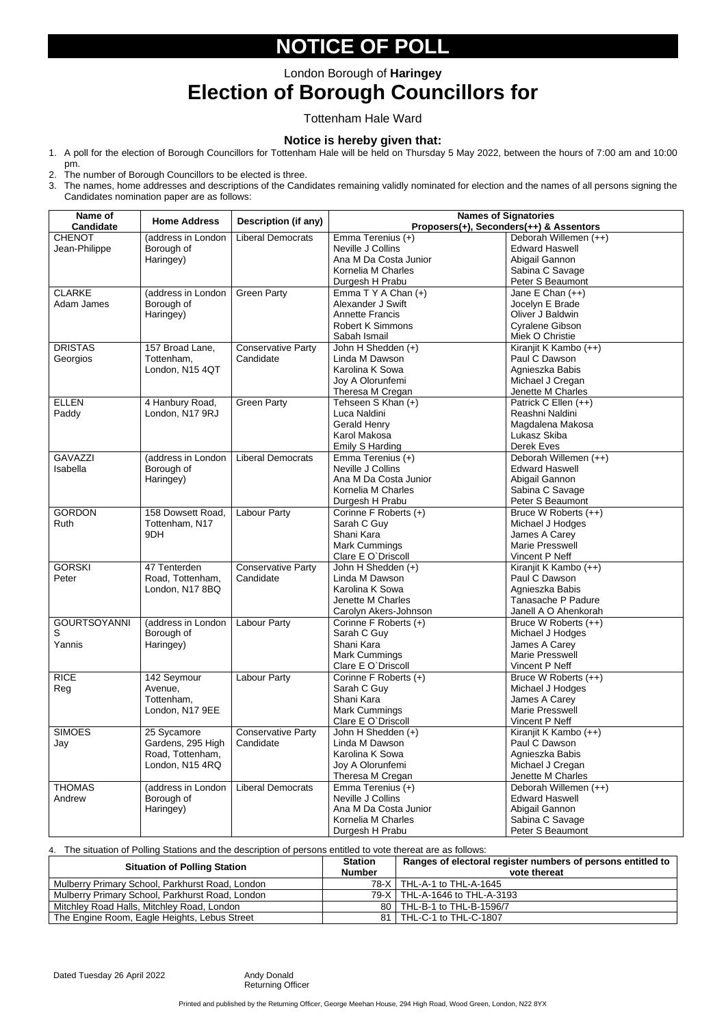### London Borough of **Haringey Election of Borough Councillors for**

# **NOTICE OF POLL**

Tottenham Hale Ward

#### **Notice is hereby given that:**

- 1. A poll for the election of Borough Councillors for Tottenham Hale will be held on Thursday 5 May 2022, between the hours of 7:00 am and 10:00 pm.
- 2. The number of Borough Councillors to be elected is three.
- 3. The names, home addresses and descriptions of the Candidates remaining validly nominated for election and the names of all persons signing the Candidates nomination paper are as follows:

4. The situation of Polling Stations and the description of persons entitled to vote thereat are as follows:

| Name of<br><b>Candidate</b> | <b>Home Address</b> | <b>Description (if any)</b> | <b>Names of Signatories</b><br>Proposers(+), Seconders(++) & Assentors |                         |  |
|-----------------------------|---------------------|-----------------------------|------------------------------------------------------------------------|-------------------------|--|
| <b>CHENOT</b>               | (address in London  | <b>Liberal Democrats</b>    | Emma Terenius (+)                                                      | Deborah Willemen (++)   |  |
| Jean-Philippe               | Borough of          |                             | Neville J Collins                                                      | <b>Edward Haswell</b>   |  |
|                             | Haringey)           |                             | Ana M Da Costa Junior                                                  | Abigail Gannon          |  |
|                             |                     |                             | Kornelia M Charles                                                     | Sabina C Savage         |  |
|                             |                     |                             | Durgesh H Prabu                                                        | Peter S Beaumont        |  |
| <b>CLARKE</b>               | (address in London  | <b>Green Party</b>          | Emma $T Y A Chan (+)$                                                  | Jane E Chan (++)        |  |
| Adam James                  | Borough of          |                             | Alexander J Swift                                                      | Jocelyn E Brade         |  |
|                             | Haringey)           |                             | <b>Annette Francis</b>                                                 | Oliver J Baldwin        |  |
|                             |                     |                             | <b>Robert K Simmons</b>                                                | <b>Cyralene Gibson</b>  |  |
|                             |                     |                             | Sabah Ismail                                                           | Miek O Christie         |  |
| <b>DRISTAS</b>              | 157 Broad Lane,     | <b>Conservative Party</b>   | John H Shedden (+)                                                     | Kiranjit K Kambo (++)   |  |
| Georgios                    | Tottenham,          | Candidate                   | Linda M Dawson                                                         | Paul C Dawson           |  |
|                             | London, N15 4QT     |                             | Karolina K Sowa                                                        | Agnieszka Babis         |  |
|                             |                     |                             | Joy A Olorunfemi                                                       | Michael J Cregan        |  |
|                             |                     |                             | Theresa M Cregan                                                       | Jenette M Charles       |  |
| <b>ELLEN</b>                | 4 Hanbury Road,     | <b>Green Party</b>          | Tehseen S Khan (+)                                                     | Patrick C Ellen (++)    |  |
| Paddy                       | London, N17 9RJ     |                             | Luca Naldini                                                           | Reashni Naldini         |  |
|                             |                     |                             | <b>Gerald Henry</b>                                                    | Magdalena Makosa        |  |
|                             |                     |                             | Karol Makosa                                                           | Lukasz Skiba            |  |
|                             |                     |                             | <b>Emily S Harding</b>                                                 | <b>Derek Eves</b>       |  |
| <b>GAVAZZI</b>              | (address in London  | <b>Liberal Democrats</b>    | Emma Terenius (+)                                                      | Deborah Willemen (++)   |  |
| Isabella                    | Borough of          |                             | Neville J Collins                                                      | <b>Edward Haswell</b>   |  |
|                             |                     |                             | Ana M Da Costa Junior                                                  | Abigail Gannon          |  |
|                             | Haringey)           |                             | Kornelia M Charles                                                     | Sabina C Savage         |  |
|                             |                     |                             |                                                                        |                         |  |
|                             |                     |                             | Durgesh H Prabu                                                        | <b>Peter S Beaumont</b> |  |
| <b>GORDON</b>               | 158 Dowsett Road,   | Labour Party                | Corinne F Roberts (+)                                                  | Bruce W Roberts (++)    |  |
| Ruth                        | Tottenham, N17      |                             | Sarah C Guy<br>Shani Kara                                              | Michael J Hodges        |  |
|                             | 9DH                 |                             |                                                                        | James A Carey           |  |
|                             |                     |                             | <b>Mark Cummings</b>                                                   | <b>Marie Presswell</b>  |  |
|                             |                     |                             | Clare E O'Driscoll                                                     | Vincent P Neff          |  |
| <b>GORSKI</b>               | 47 Tenterden        | <b>Conservative Party</b>   | John H Shedden (+)                                                     | Kiranjit K Kambo (++)   |  |
| Peter                       | Road, Tottenham,    | Candidate                   | Linda M Dawson                                                         | Paul C Dawson           |  |
|                             | London, N17 8BQ     |                             | Karolina K Sowa                                                        | Agnieszka Babis         |  |
|                             |                     |                             | Jenette M Charles                                                      | Tanasache P Padure      |  |
|                             |                     |                             | Carolyn Akers-Johnson                                                  | Janell A O Ahenkorah    |  |
| <b>GOURTSOYANNI</b>         | (address in London  | <b>Labour Party</b>         | Corinne F Roberts (+)                                                  | Bruce W Roberts (++)    |  |
| S                           | Borough of          |                             | Sarah C Guy                                                            | Michael J Hodges        |  |
| Yannis                      | Haringey)           |                             | Shani Kara                                                             | James A Carey           |  |
|                             |                     |                             | <b>Mark Cummings</b>                                                   | <b>Marie Presswell</b>  |  |
|                             |                     |                             | Clare E O'Driscoll                                                     | Vincent P Neff          |  |
| <b>RICE</b>                 | 142 Seymour         | Labour Party                | Corinne F Roberts (+)                                                  | Bruce W Roberts (++)    |  |
| Reg                         | Avenue,             |                             | Sarah C Guy                                                            | Michael J Hodges        |  |
|                             | Tottenham,          |                             | Shani Kara                                                             | James A Carey           |  |
|                             | London, N17 9EE     |                             | <b>Mark Cummings</b>                                                   | <b>Marie Presswell</b>  |  |
|                             |                     |                             | Clare E O'Driscoll                                                     | Vincent P Neff          |  |
| <b>SIMOES</b>               | 25 Sycamore         | <b>Conservative Party</b>   | John H Shedden (+)                                                     | Kiranjit K Kambo (++)   |  |
| Jay                         | Gardens, 295 High   | Candidate                   | Linda M Dawson                                                         | Paul C Dawson           |  |
|                             | Road, Tottenham,    |                             | Karolina K Sowa                                                        | Agnieszka Babis         |  |
|                             | London, N15 4RQ     |                             | Joy A Olorunfemi                                                       | Michael J Cregan        |  |
|                             |                     |                             | Theresa M Cregan                                                       | Jenette M Charles       |  |
| <b>THOMAS</b>               | (address in London  | <b>Liberal Democrats</b>    | Emma Terenius (+)                                                      | Deborah Willemen (++)   |  |
| Andrew                      | Borough of          |                             | Neville J Collins                                                      | <b>Edward Haswell</b>   |  |
|                             | Haringey)           |                             | Ana M Da Costa Junior                                                  | Abigail Gannon          |  |
|                             |                     |                             | Kornelia M Charles                                                     | Sabina C Savage         |  |
|                             |                     |                             | Durgesh H Prabu                                                        | Peter S Beaumont        |  |

| <b>Situation of Polling Station</b>             | <b>Station</b><br><b>Number</b> | Ranges of electoral register numbers of persons entitled to<br>vote thereat |
|-------------------------------------------------|---------------------------------|-----------------------------------------------------------------------------|
| Mulberry Primary School, Parkhurst Road, London |                                 | 78-X   THL-A-1 to THL-A-1645                                                |
| Mulberry Primary School, Parkhurst Road, London |                                 | 79-X   THL-A-1646 to THL-A-3193                                             |
| Mitchley Road Halls, Mitchley Road, London      |                                 | 80   THL-B-1 to THL-B-1596/7                                                |
| The Engine Room, Eagle Heights, Lebus Street    |                                 | 81   THL-C-1 to THL-C-1807                                                  |

Dated Tuesday 26 April 2022 Andy Donald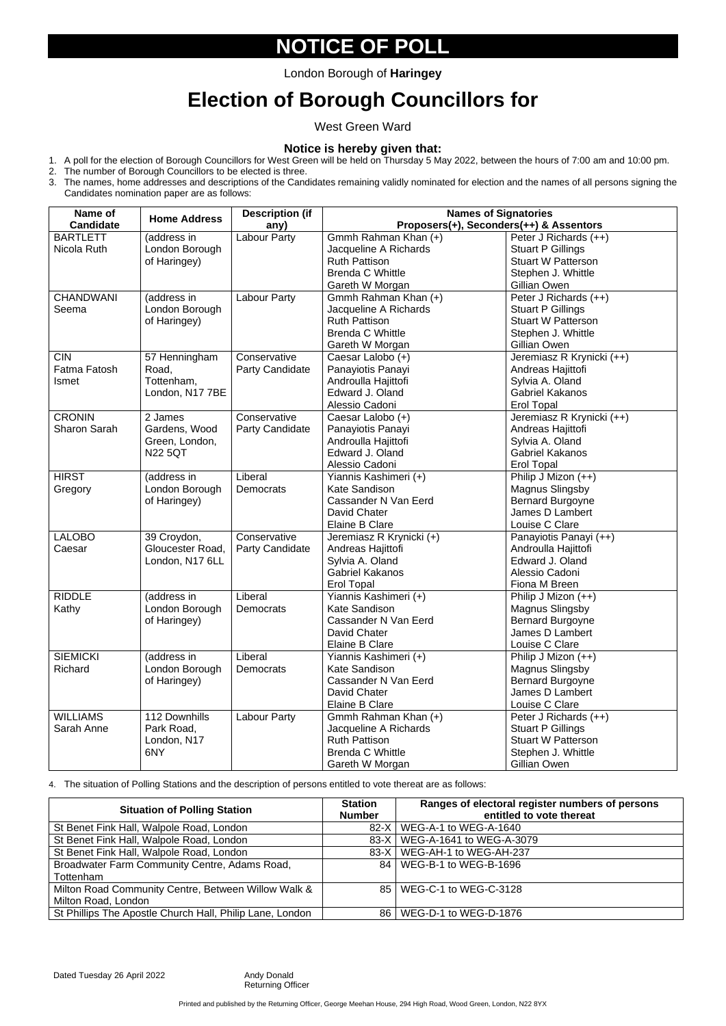# **NOTICE OF POLL**

## **Election of Borough Councillors for**

West Green Ward

#### **Notice is hereby given that:**

1. A poll for the election of Borough Councillors for West Green will be held on Thursday 5 May 2022, between the hours of 7:00 am and 10:00 pm.

- 2. The number of Borough Councillors to be elected is three.
- 3. The names, home addresses and descriptions of the Candidates remaining validly nominated for election and the names of all persons signing the Candidates nomination paper are as follows:

| Name of             | <b>Home Address</b> | <b>Description (if</b> | <b>Names of Signatories</b> |                                         |  |
|---------------------|---------------------|------------------------|-----------------------------|-----------------------------------------|--|
| <b>Candidate</b>    |                     | any)                   |                             | Proposers(+), Seconders(++) & Assentors |  |
| <b>BARTLETT</b>     | (address in         | <b>Labour Party</b>    | Gmmh Rahman Khan (+)        | Peter J Richards (++)                   |  |
| Nicola Ruth         | London Borough      |                        | Jacqueline A Richards       | <b>Stuart P Gillings</b>                |  |
|                     | of Haringey)        |                        | <b>Ruth Pattison</b>        | <b>Stuart W Patterson</b>               |  |
|                     |                     |                        | <b>Brenda C Whittle</b>     | Stephen J. Whittle                      |  |
|                     |                     |                        | Gareth W Morgan             | Gillian Owen                            |  |
| <b>CHANDWANI</b>    | (address in         | <b>Labour Party</b>    | Gmmh Rahman Khan (+)        | Peter J Richards (++)                   |  |
| Seema               | London Borough      |                        | Jacqueline A Richards       | <b>Stuart P Gillings</b>                |  |
|                     | of Haringey)        |                        | <b>Ruth Pattison</b>        | <b>Stuart W Patterson</b>               |  |
|                     |                     |                        | <b>Brenda C Whittle</b>     | Stephen J. Whittle                      |  |
|                     |                     |                        | Gareth W Morgan             | Gillian Owen                            |  |
| <b>CIN</b>          | 57 Henningham       | Conservative           | Caesar Lalobo (+)           | Jeremiasz R Krynicki (++)               |  |
| Fatma Fatosh        | Road,               | Party Candidate        | Panayiotis Panayi           | Andreas Hajittofi                       |  |
| <b>Ismet</b>        | Tottenham,          |                        | Androulla Hajittofi         | Sylvia A. Oland                         |  |
|                     | London, N17 7BE     |                        | Edward J. Oland             | <b>Gabriel Kakanos</b>                  |  |
|                     |                     |                        | Alessio Cadoni              | <b>Erol Topal</b>                       |  |
| <b>CRONIN</b>       | 2 James             | Conservative           | Caesar Lalobo (+)           | Jeremiasz R Krynicki (++)               |  |
| <b>Sharon Sarah</b> | Gardens, Wood       | <b>Party Candidate</b> | Panayiotis Panayi           | Andreas Hajittofi                       |  |
|                     | Green, London,      |                        | Androulla Hajittofi         | Sylvia A. Oland                         |  |
|                     | <b>N22 5QT</b>      |                        | Edward J. Oland             | <b>Gabriel Kakanos</b>                  |  |
|                     |                     |                        | Alessio Cadoni              | <b>Erol Topal</b>                       |  |
| <b>HIRST</b>        | (address in         | Liberal                | Yiannis Kashimeri (+)       | Philip J Mizon (++)                     |  |
| Gregory             | London Borough      | Democrats              | <b>Kate Sandison</b>        | <b>Magnus Slingsby</b>                  |  |
|                     | of Haringey)        |                        | Cassander N Van Eerd        | <b>Bernard Burgoyne</b>                 |  |
|                     |                     |                        | David Chater                | James D Lambert                         |  |
|                     |                     |                        | <b>Elaine B Clare</b>       | Louise C Clare                          |  |
| <b>LALOBO</b>       | 39 Croydon,         | Conservative           | Jeremiasz R Krynicki (+)    | Panayiotis Panayi (++)                  |  |
| Caesar              | Gloucester Road,    | <b>Party Candidate</b> | Andreas Hajittofi           | Androulla Hajittofi                     |  |
|                     | London, N17 6LL     |                        | Sylvia A. Oland             | Edward J. Oland                         |  |
|                     |                     |                        | <b>Gabriel Kakanos</b>      | Alessio Cadoni                          |  |
|                     |                     |                        | <b>Erol Topal</b>           | Fiona M Breen                           |  |
| <b>RIDDLE</b>       | (address in         | Liberal                | Yiannis Kashimeri (+)       | Philip J Mizon (++)                     |  |
| Kathy               | London Borough      | Democrats              | <b>Kate Sandison</b>        | <b>Magnus Slingsby</b>                  |  |
|                     | of Haringey)        |                        | Cassander N Van Eerd        | <b>Bernard Burgoyne</b>                 |  |
|                     |                     |                        | David Chater                | James D Lambert                         |  |
|                     |                     |                        | <b>Elaine B Clare</b>       | Louise C Clare                          |  |
| <b>SIEMICKI</b>     | (address in         | Liberal                | Yiannis Kashimeri (+)       | Philip J Mizon $(++)$                   |  |
| Richard             | London Borough      | <b>Democrats</b>       | <b>Kate Sandison</b>        | <b>Magnus Slingsby</b>                  |  |
|                     | of Haringey)        |                        | Cassander N Van Eerd        | <b>Bernard Burgoyne</b>                 |  |
|                     |                     |                        | David Chater                | James D Lambert                         |  |
|                     |                     |                        | <b>Elaine B Clare</b>       | Louise C Clare                          |  |
| <b>WILLIAMS</b>     | 112 Downhills       | <b>Labour Party</b>    | Gmmh Rahman Khan (+)        | Peter J Richards (++)                   |  |
| Sarah Anne          | Park Road,          |                        | Jacqueline A Richards       | <b>Stuart P Gillings</b>                |  |
|                     | London, N17         |                        | <b>Ruth Pattison</b>        | <b>Stuart W Patterson</b>               |  |
|                     | 6NY                 |                        | <b>Brenda C Whittle</b>     | Stephen J. Whittle                      |  |
|                     |                     |                        | Gareth W Morgan             | Gillian Owen                            |  |

4. The situation of Polling Stations and the description of persons entitled to vote thereat are as follows:

| <b>Situation of Polling Station</b>                      | <b>Station</b><br><b>Number</b> | Ranges of electoral register numbers of persons<br>entitled to vote thereat |
|----------------------------------------------------------|---------------------------------|-----------------------------------------------------------------------------|
| St Benet Fink Hall, Walpole Road, London                 |                                 | 82-X   WEG-A-1 to WEG-A-1640                                                |
| St Benet Fink Hall, Walpole Road, London                 |                                 | 83-X   WEG-A-1641 to WEG-A-3079                                             |
| St Benet Fink Hall, Walpole Road, London                 |                                 | 83-X   WEG-AH-1 to WEG-AH-237                                               |
| Broadwater Farm Community Centre, Adams Road,            |                                 | 84   WEG-B-1 to WEG-B-1696                                                  |
| Tottenham                                                |                                 |                                                                             |
| Milton Road Community Centre, Between Willow Walk &      |                                 | 85   WEG-C-1 to WEG-C-3128                                                  |
| Milton Road, London                                      |                                 |                                                                             |
| St Phillips The Apostle Church Hall, Philip Lane, London |                                 | 86   WEG-D-1 to WEG-D-1876                                                  |

Dated Tuesday 26 April 2022 Andy Donald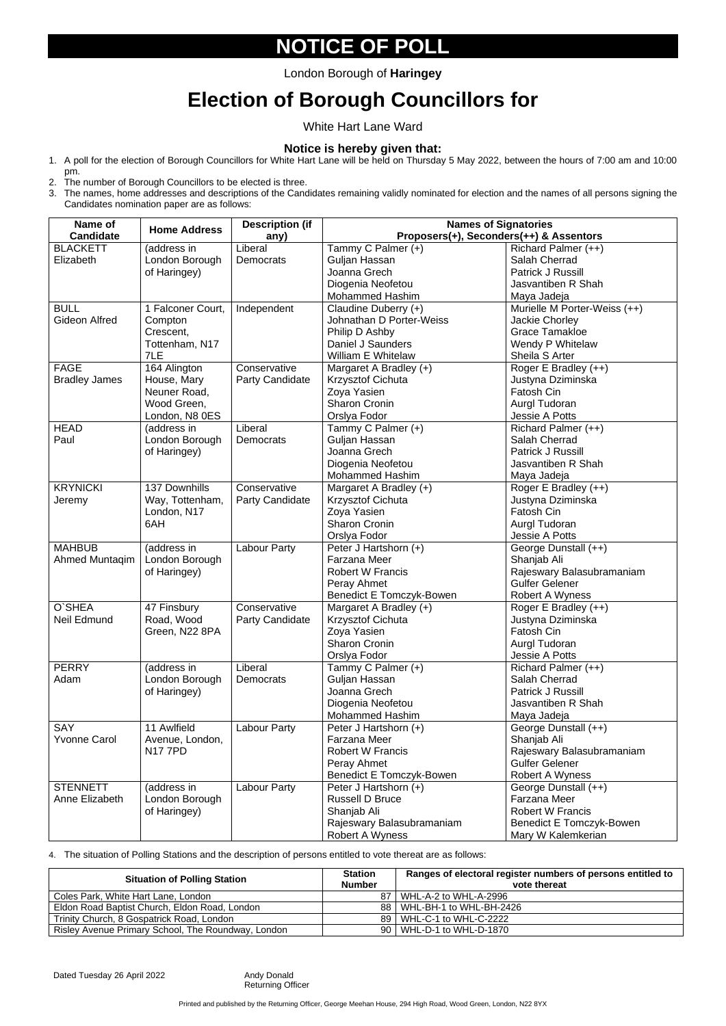# **NOTICE OF POLL**

# **Election of Borough Councillors for**

White Hart Lane Ward

#### **Notice is hereby given that:**

- 1. A poll for the election of Borough Councillors for White Hart Lane will be held on Thursday 5 May 2022, between the hours of 7:00 am and 10:00 pm.
- 2. The number of Borough Councillors to be elected is three.
- 3. The names, home addresses and descriptions of the Candidates remaining validly nominated for election and the names of all persons signing the Candidates nomination paper are as follows:

| Name of<br><b>Candidate</b> | <b>Home Address</b>              | <b>Description (if</b><br>any) | <b>Names of Signatories</b><br>Proposers(+), Seconders(++) & Assentors |                                                    |  |
|-----------------------------|----------------------------------|--------------------------------|------------------------------------------------------------------------|----------------------------------------------------|--|
| <b>BLACKETT</b>             | (address in                      | Liberal                        | Tammy C Palmer (+)                                                     | Richard Palmer (++)                                |  |
| Elizabeth                   | London Borough                   | <b>Democrats</b>               | Guljan Hassan                                                          | Salah Cherrad                                      |  |
|                             | of Haringey)                     |                                | Joanna Grech                                                           | Patrick J Russill                                  |  |
|                             |                                  |                                | Diogenia Neofetou                                                      | Jasvantiben R Shah                                 |  |
|                             |                                  |                                | <b>Mohammed Hashim</b>                                                 | Maya Jadeja                                        |  |
| <b>BULL</b>                 | 1 Falconer Court,                | Independent                    | Claudine Duberry (+)                                                   | Murielle M Porter-Weiss (++)                       |  |
| <b>Gideon Alfred</b>        | Compton                          |                                | Johnathan D Porter-Weiss                                               | <b>Jackie Chorley</b>                              |  |
|                             | Crescent,                        |                                | Philip D Ashby                                                         | <b>Grace Tamakloe</b>                              |  |
|                             | Tottenham, N17                   |                                | Daniel J Saunders                                                      | Wendy P Whitelaw                                   |  |
|                             | 7LE                              |                                | <b>William E Whitelaw</b>                                              | Sheila S Arter                                     |  |
| <b>FAGE</b>                 | 164 Alington                     | Conservative                   | Margaret A Bradley (+)                                                 | Roger E Bradley (++)                               |  |
| <b>Bradley James</b>        | House, Mary                      | <b>Party Candidate</b>         | <b>Krzysztof Cichuta</b>                                               | Justyna Dziminska                                  |  |
|                             | Neuner Road,                     |                                | Zoya Yasien                                                            | Fatosh Cin                                         |  |
|                             | Wood Green,                      |                                | <b>Sharon Cronin</b>                                                   | Aurgl Tudoran                                      |  |
|                             | London, N8 0ES                   |                                | Orslya Fodor                                                           | <b>Jessie A Potts</b>                              |  |
| <b>HEAD</b>                 | (address in                      | Liberal                        | Tammy C Palmer (+)                                                     | Richard Palmer (++)                                |  |
| Paul                        | London Borough                   | <b>Democrats</b>               | Guljan Hassan                                                          | Salah Cherrad                                      |  |
|                             | of Haringey)                     |                                | Joanna Grech                                                           | Patrick J Russill                                  |  |
|                             |                                  |                                | Diogenia Neofetou                                                      | Jasvantiben R Shah                                 |  |
|                             |                                  |                                | <b>Mohammed Hashim</b>                                                 | Maya Jadeja                                        |  |
| <b>KRYNICKI</b>             | 137 Downhills                    | Conservative                   | Margaret A Bradley (+)                                                 | Roger E Bradley (++)                               |  |
| Jeremy                      | Way, Tottenham,                  | <b>Party Candidate</b>         | <b>Krzysztof Cichuta</b>                                               | Justyna Dziminska                                  |  |
|                             | London, N17                      |                                | Zoya Yasien                                                            | Fatosh Cin                                         |  |
|                             | 6AH                              |                                | <b>Sharon Cronin</b>                                                   | Aurgl Tudoran                                      |  |
|                             |                                  |                                | Orslya Fodor                                                           | Jessie A Potts                                     |  |
| <b>MAHBUB</b>               | (address in                      | <b>Labour Party</b>            | Peter J Hartshorn (+)                                                  | George Dunstall (++)                               |  |
| Ahmed Muntaqim              | London Borough                   |                                | <b>Farzana Meer</b>                                                    | Shanjab Ali                                        |  |
|                             | of Haringey)                     |                                | <b>Robert W Francis</b>                                                | Rajeswary Balasubramaniam                          |  |
|                             |                                  |                                | Peray Ahmet                                                            | <b>Gulfer Gelener</b>                              |  |
|                             |                                  |                                | <b>Benedict E Tomczyk-Bowen</b>                                        | <b>Robert A Wyness</b>                             |  |
| O'SHEA                      | 47 Finsbury                      | Conservative                   | Margaret A Bradley (+)                                                 | Roger E Bradley (++)                               |  |
| Neil Edmund                 | Road, Wood                       | <b>Party Candidate</b>         | <b>Krzysztof Cichuta</b>                                               | Justyna Dziminska                                  |  |
|                             | Green, N22 8PA                   |                                | Zoya Yasien                                                            | Fatosh Cin                                         |  |
|                             |                                  |                                | <b>Sharon Cronin</b>                                                   | Aurgl Tudoran                                      |  |
|                             |                                  |                                | Orslya Fodor                                                           | Jessie A Potts                                     |  |
| <b>PERRY</b>                | (address in                      | Liberal                        | Tammy C Palmer (+)                                                     | Richard Palmer (++)                                |  |
| Adam                        | London Borough                   | <b>Democrats</b>               | Guljan Hassan                                                          | Salah Cherrad                                      |  |
|                             | of Haringey)                     |                                | Joanna Grech                                                           | <b>Patrick J Russill</b>                           |  |
|                             |                                  |                                |                                                                        | Jasvantiben R Shah                                 |  |
|                             |                                  |                                | Diogenia Neofetou<br><b>Mohammed Hashim</b>                            |                                                    |  |
| <b>SAY</b>                  | 11 Awlfield                      |                                |                                                                        | Maya Jadeja                                        |  |
| <b>Yvonne Carol</b>         |                                  | <b>Labour Party</b>            | Peter J Hartshorn (+)<br>Farzana Meer                                  | George Dunstall (++)                               |  |
|                             | Avenue, London,<br><b>N177PD</b> |                                | <b>Robert W Francis</b>                                                | Shanjab Ali                                        |  |
|                             |                                  |                                |                                                                        | Rajeswary Balasubramaniam<br><b>Gulfer Gelener</b> |  |
|                             |                                  |                                | Peray Ahmet                                                            |                                                    |  |
|                             |                                  |                                | <b>Benedict E Tomczyk-Bowen</b>                                        | <b>Robert A Wyness</b>                             |  |
| <b>STENNETT</b>             | (address in                      | <b>Labour Party</b>            | Peter J Hartshorn (+)<br>George Dunstall (++)                          |                                                    |  |
| Anne Elizabeth              | London Borough                   |                                | <b>Russell D Bruce</b>                                                 | <b>Farzana Meer</b>                                |  |
|                             | of Haringey)                     |                                | Shanjab Ali                                                            | <b>Robert W Francis</b>                            |  |
|                             |                                  |                                | Rajeswary Balasubramaniam                                              | <b>Benedict E Tomczyk-Bowen</b>                    |  |
|                             |                                  |                                | <b>Robert A Wyness</b>                                                 | Mary W Kalemkerian                                 |  |

4. The situation of Polling Stations and the description of persons entitled to vote thereat are as follows:

Printed and published by the Returning Officer, George Meehan House, 294 High Road, Wood Green, London, N22 8YX

| <b>Situation of Polling Station</b>                | <b>Station</b><br><b>Number</b> | Ranges of electoral register numbers of persons entitled to<br>vote thereat |
|----------------------------------------------------|---------------------------------|-----------------------------------------------------------------------------|
| Coles Park, White Hart Lane, London                |                                 | 87 WHL-A-2 to WHL-A-2996                                                    |
| Eldon Road Baptist Church, Eldon Road, London      |                                 | 88   WHL-BH-1 to WHL-BH-2426                                                |
| Trinity Church, 8 Gospatrick Road, London          |                                 | 89   WHL-C-1 to WHL-C-2222                                                  |
| Risley Avenue Primary School, The Roundway, London |                                 | 90   WHL-D-1 to WHL-D-1870                                                  |

Dated Tuesday 26 April 2022 Andy Donald